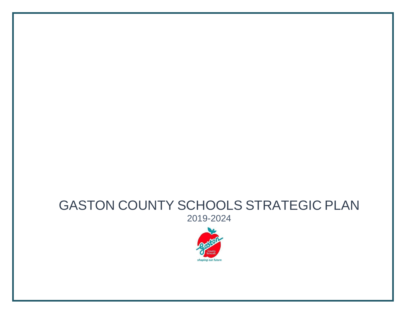# GASTON COUNTY SCHOOLS STRATEGIC PLAN 2019-2024

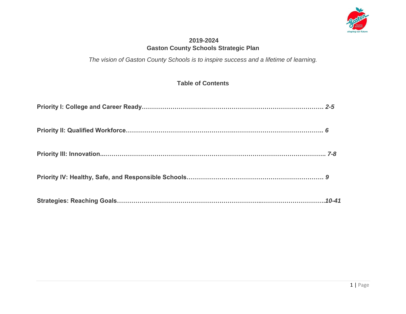

## **2019-2024 Gaston County Schools Strategic Plan**

*The vision of Gaston County Schools is to inspire success and a lifetime of learning.*

## **Table of Contents**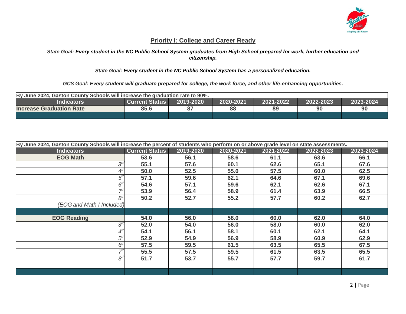

#### **Priority I: College and Career Ready**

#### *State Goal: Every student in the NC Public School System graduates from High School prepared for work, further education and citizenship.*

#### *State Goal: Every student in the NC Public School System has a personalized education.*

*GCS Goal: Every student will graduate prepared for college, the work force, and other life-enhancing opportunities.*

| By June 2024, Gaston County Schools will increase the graduation rate to 90%.                               |                              |  |  |  |  |  |
|-------------------------------------------------------------------------------------------------------------|------------------------------|--|--|--|--|--|
| 2019-2020<br>2020-2021<br>2021-2022<br>2022-2023<br>2023-2024<br><b>Indicators</b><br><b>Current Status</b> |                              |  |  |  |  |  |
| <b>Increase Graduation Rate</b>                                                                             | 88<br>85.6<br>90<br>89<br>90 |  |  |  |  |  |
|                                                                                                             |                              |  |  |  |  |  |

| By June 2024, Gaston County Schools will increase the percent of students who perform on or above grade level on state assessments. |                       |           |           |           |           |           |  |
|-------------------------------------------------------------------------------------------------------------------------------------|-----------------------|-----------|-----------|-----------|-----------|-----------|--|
| <b>Indicators</b>                                                                                                                   | <b>Current Status</b> | 2019-2020 | 2020-2021 | 2021-2022 | 2022-2023 | 2023-2024 |  |
| <b>EOG Math</b>                                                                                                                     | 53.6                  | 56.1      | 58.6      | 61.1      | 63.6      | 66.1      |  |
| $3^{ra}$                                                                                                                            | 55.1                  | 57.6      | 60.1      | 62.6      | 65.1      | 67.6      |  |
|                                                                                                                                     | 50.0                  | 52.5      | 55.0      | 57.5      | 60.0      | 62.5      |  |
| $5^{th}$                                                                                                                            | 57.1                  | 59.6      | 62.1      | 64.6      | 67.1      | 69.6      |  |
| $6^{\rm th}$                                                                                                                        | 54.6                  | 57.1      | 59.6      | 62.1      | 62.6      | 67.1      |  |
| ⊣th                                                                                                                                 | 53.9                  | 56.4      | 58.9      | 61.4      | 63.9      | 66.5      |  |
| 8 <sup>th</sup>                                                                                                                     | 50.2                  | 52.7      | 55.2      | 57.7      | 60.2      | 62.7      |  |
| (EOG and Math I Included)                                                                                                           |                       |           |           |           |           |           |  |
|                                                                                                                                     |                       |           |           |           |           |           |  |
| <b>EOG Reading</b>                                                                                                                  | 54.0                  | 56.0      | 58.0      | 60.0      | 62.0      | 64.0      |  |
| $3^{ra}$                                                                                                                            | 52.0                  | 54.0      | 56.0      | 58.0      | 60.0      | 62.0      |  |
|                                                                                                                                     | 54.1                  | 56.1      | 58.1      | 60.1      | 62.1      | 64.1      |  |
| 5 <sup>th</sup>                                                                                                                     | 52.9                  | 54.9      | 56.9      | 58.9      | 60.9      | 62.9      |  |
| 6 <sup>th</sup>                                                                                                                     | 57.5                  | 59.5      | 61.5      | 63.5      | 65.5      | 67.5      |  |
| ₹th                                                                                                                                 | 55.5                  | 57.5      | 59.5      | 61.5      | 63.5      | 65.5      |  |
| 8 <sup>th</sup>                                                                                                                     | 51.7                  | 53.7      | 55.7      | 57.7      | 59.7      | 61.7      |  |
|                                                                                                                                     |                       |           |           |           |           |           |  |
|                                                                                                                                     |                       |           |           |           |           |           |  |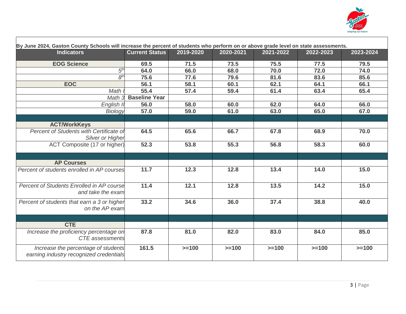

| By June 2024, Gaston County Schools will increase the percent of students who perform on or above grade level on state assessments. |                       |           |           |           |           |           |
|-------------------------------------------------------------------------------------------------------------------------------------|-----------------------|-----------|-----------|-----------|-----------|-----------|
| <b>Indicators</b>                                                                                                                   | <b>Current Status</b> | 2019-2020 | 2020-2021 | 2021-2022 | 2022-2023 | 2023-2024 |
| <b>EOG Science</b>                                                                                                                  | 69.5                  | 71.5      | 73.5      | 75.5      | 77.5      | 79.5      |
| 5 <sup>th</sup>                                                                                                                     | 64.0                  | 66.0      | 68.0      | 70.0      | 72.0      | 74.0      |
| 8 <sup>th</sup>                                                                                                                     | 75.6                  | 77.6      | 79.6      | 81.6      | 83.6      | 85.6      |
| <b>EOC</b>                                                                                                                          | 56.1                  | 58.1      | 60.1      | 62.1      | 64.1      | 66.1      |
| Math                                                                                                                                | 55.4                  | 57.4      | 59.4      | 61.4      | 63.4      | 65.4      |
| Math 3                                                                                                                              | <b>Baseline Year</b>  |           |           |           |           |           |
| English II                                                                                                                          | 56.0                  | 58.0      | 60.0      | 62.0      | 64.0      | 66.0      |
| Biology                                                                                                                             | 57.0                  | 59.0      | 61.0      | 63.0      | 65.0      | 67.0      |
|                                                                                                                                     |                       |           |           |           |           |           |
| <b>ACT/WorkKeys</b>                                                                                                                 |                       |           |           |           |           |           |
| Percent of Students with Certificate of                                                                                             | 64.5                  | 65.6      | 66.7      | 67.8      | 68.9      | 70.0      |
| Silver or Higher                                                                                                                    |                       |           |           |           |           |           |
| ACT Composite (17 or higher)                                                                                                        | 52.3                  | 53.8      | 55.3      | 56.8      | 58.3      | 60.0      |
|                                                                                                                                     |                       |           |           |           |           |           |
| <b>AP Courses</b>                                                                                                                   |                       |           |           |           |           |           |
| Percent of students enrolled in AP courses                                                                                          | 11.7                  | 12.3      | 12.8      | 13.4      | 14.0      | 15.0      |
| Percent of Students Enrolled in AP course<br>and take the exam                                                                      | 11.4                  | 12.1      | 12.8      | 13.5      | 14.2      | 15.0      |
| Percent of students that earn a 3 or higher<br>on the AP exam                                                                       | 33.2                  | 34.6      | 36.0      | 37.4      | 38.8      | 40.0      |
|                                                                                                                                     |                       |           |           |           |           |           |
| <b>CTE</b>                                                                                                                          |                       |           |           |           |           |           |
| Increase the proficiency percentage on<br><b>CTE</b> assessments                                                                    | 87.8                  | 81.0      | 82.0      | 83.0      | 84.0      | 85.0      |
| Increase the percentage of students<br>earning industry recognized credentials                                                      | 161.5                 | $>=100$   | $>=100$   | $>=100$   | $>=100$   | $>=100$   |

 $\Gamma$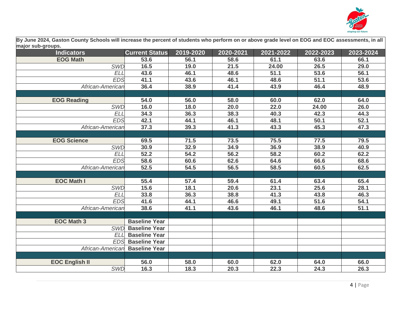

**By June 2024, Gaston County Schools will increase the percent of students who perform on or above grade level on EOG and EOC assessments, in all major sub-groups.** 

| major oaw yroapor<br><b>Indicators</b> | <b>Current Status</b>    | 2019-2020 | 2020-2021 | 2021-2022 | 2022-2023 | $\overline{20}$ 23-2024 |
|----------------------------------------|--------------------------|-----------|-----------|-----------|-----------|-------------------------|
| <b>EOG Math</b>                        | 53.6                     | 56.1      | 58.6      | 61.1      | 63.6      | 66.1                    |
| <b>SWD</b>                             | 16.5                     | 19.0      | 21.5      | 24.00     | 26.5      | 29.0                    |
| <b>ELL</b>                             | 43.6                     | 46.1      | 48.6      | 51.1      | 53.6      | 56.1                    |
| <b>EDS</b>                             | 41.1                     | 43.6      | 46.1      | 48.6      | 51.1      | 53.6                    |
| African-American                       | 36.4                     | 38.9      | 41.4      | 43.9      | 46.4      | 48.9                    |
|                                        |                          |           |           |           |           |                         |
| <b>EOG Reading</b>                     | 54.0                     | 56.0      | 58.0      | 60.0      | 62.0      | 64.0                    |
| <b>SWD</b>                             | 16.0                     | 18.0      | 20.0      | 22.0      | 24.00     | 26.0                    |
| <b>ELL</b>                             | 34.3                     | 36.3      | 38.3      | 40.3      | 42.3      | 44.3                    |
| <b>EDS</b>                             | 42.1                     | 44.1      | 46.1      | 48.1      | 50.1      | 52.1                    |
| African-American                       | 37.3                     | 39.3      | 41.3      | 43.3      | 45.3      | 47.3                    |
|                                        |                          |           |           |           |           |                         |
| <b>EOG Science</b>                     | 69.5                     | 71.5      | 73.5      | 75.5      | 77.5      | 79.5                    |
| <b>SWD</b>                             | 30.9                     | 32.9      | 34.9      | 36.9      | 38.9      | 40.9                    |
| <b>ELL</b>                             | 52.2                     | 54.2      | 56.2      | 58.2      | 60.2      | 62.2                    |
| <b>EDS</b>                             | 58.6                     | 60.6      | 62.6      | 64.6      | 66.6      | 68.6                    |
| African-American                       | 52.5                     | 54.5      | 56.5      | 58.5      | 60.5      | 62.5                    |
|                                        |                          |           |           |           |           |                         |
| <b>EOC Math I</b>                      | 55.4                     | 57.4      | 59.4      | 61.4      | 63.4      | 65.4                    |
| <b>SWD</b>                             | 15.6                     | 18.1      | 20.6      | 23.1      | 25.6      | 28.1                    |
| <b>ELL</b>                             | 33.8                     | 36.3      | 38.8      | 41.3      | 43.8      | 46.3                    |
| <b>EDS</b>                             | 41.6                     | 44.1      | 46.6      | 49.1      | 51.6      | 54.1                    |
| African-American                       | 38.6                     | 41.1      | 43.6      | 46.1      | 48.6      | 51.1                    |
|                                        |                          |           |           |           |           |                         |
| <b>EOC Math 3</b>                      | <b>Baseline Year</b>     |           |           |           |           |                         |
| <b>SWD</b>                             | <b>Baseline Year</b>     |           |           |           |           |                         |
| <b>ELL</b>                             | <b>Baseline Year</b>     |           |           |           |           |                         |
|                                        | <b>EDS</b> Baseline Year |           |           |           |           |                         |
| African-American                       | <b>Baseline Year</b>     |           |           |           |           |                         |
|                                        |                          |           |           |           |           |                         |
| <b>EOC English II</b>                  | 56.0                     | 58.0      | 60.0      | 62.0      | 64.0      | 66.0                    |
| <b>SWD</b>                             | 16.3                     | 18.3      | 20.3      | 22.3      | 24.3      | 26.3                    |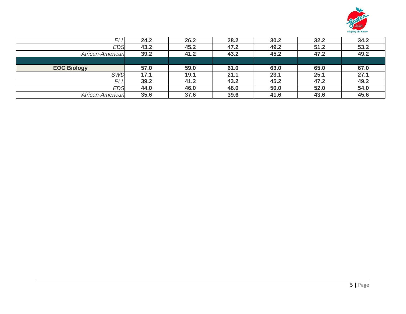

| EL.                | 24.2 | 26.2 | 28.2 | 30.2 | 32.2 | 34.2 |
|--------------------|------|------|------|------|------|------|
| EDS                | 43.2 | 45.2 | 47.2 | 49.2 | 51.2 | 53.2 |
| African-American   | 39.2 | 41.2 | 43.2 | 45.2 | 47.2 | 49.2 |
|                    |      |      |      |      |      |      |
| <b>EOC Biology</b> | 57.0 | 59.0 | 61.0 | 63.0 | 65.0 | 67.0 |
| <b>SWD</b>         | 17.1 | 19.1 | 21.1 | 23.1 | 25.1 | 27.1 |
| ELL                | 39.2 | 41.2 | 43.2 | 45.2 | 47.2 | 49.2 |
| EDS                | 44.0 | 46.0 | 48.0 | 50.0 | 52.0 | 54.0 |
| African-American   | 35.6 | 37.6 | 39.6 | 41.6 | 43.6 | 45.6 |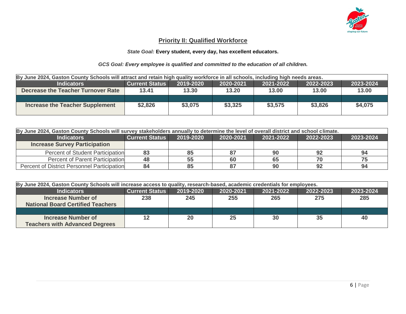

#### **Priority II: Qualified Workforce**

#### *State Goal:* **Every student, every day, has excellent educators.**

#### *GCS Goal: Every employee is qualified and committed to the education of all children.*

| By June 2024, Gaston County Schools will attract and retain high quality workforce in all schools, including high needs areas. |                       |           |           |                 |           |           |
|--------------------------------------------------------------------------------------------------------------------------------|-----------------------|-----------|-----------|-----------------|-----------|-----------|
| <b>Indicators</b>                                                                                                              | <b>Current Status</b> | 2019-2020 | 2020-2021 | $ 2021 - 2022 $ | 2022-2023 | 2023-2024 |
| Decrease the Teacher Turnover Rate                                                                                             | 13.41                 | 13.30     | 13.20     | 13.00           | 13.00     | 13.00     |
|                                                                                                                                |                       |           |           |                 |           |           |
| <b>Increase the Teacher Supplement</b>                                                                                         | \$2,826               | \$3,075   | \$3,325   | \$3,575         | \$3,826   | \$4,075   |
|                                                                                                                                |                       |           |           |                 |           |           |

| By June 2024, Gaston County Schools will survey stakeholders annually to determine the level of overall district and school climate. |    |                                                                                        |    |    |    |    |  |  |
|--------------------------------------------------------------------------------------------------------------------------------------|----|----------------------------------------------------------------------------------------|----|----|----|----|--|--|
| <b>Indicators</b>                                                                                                                    |    | <b>Current Status</b><br>2019-2020<br>2020-2021<br>2021-2022<br>2022-2023<br>2023-2024 |    |    |    |    |  |  |
| <b>Increase Survey Participation</b>                                                                                                 |    |                                                                                        |    |    |    |    |  |  |
| <b>Percent of Student Participation</b>                                                                                              | 83 | 85                                                                                     |    | 90 | 92 | 94 |  |  |
| Percent of Parent Participation                                                                                                      | 48 | 55                                                                                     | 60 | 65 |    | 75 |  |  |
| Percent of District Personnel Participation                                                                                          | 84 | 85                                                                                     |    | 90 | 92 | 94 |  |  |

| By June 2024, Gaston County Schools will increase access to quality, research-based, academic credentials for employees. |                       |           |           |           |           |           |
|--------------------------------------------------------------------------------------------------------------------------|-----------------------|-----------|-----------|-----------|-----------|-----------|
| <b>Indicators</b>                                                                                                        | <b>Current Status</b> | 2019-2020 | 2020-2021 | 2021-2022 | 2022-2023 | 2023-2024 |
| <b>Increase Number of</b>                                                                                                | 238                   | 245       | 255       | 265       | 275       | 285       |
| <b>National Board Certified Teachers</b>                                                                                 |                       |           |           |           |           |           |
|                                                                                                                          |                       |           |           |           |           |           |
| <b>Increase Number of</b><br><b>Teachers with Advanced Degrees</b>                                                       | 12                    | 20        | 25        | 30        | 35        | 40        |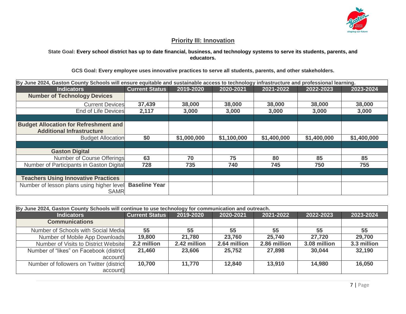

#### **Priority III: Innovation**

**State Goal: Every school district has up to date financial, business, and technology systems to serve its students, parents, and educators.**

#### **GCS Goal: Every employee uses innovative practices to serve all students, parents, and other stakeholders.**

| By June 2024, Gaston County Schools will ensure equitable and sustainable access to technology infrastructure and professional learning. |                       |             |             |             |             |             |
|------------------------------------------------------------------------------------------------------------------------------------------|-----------------------|-------------|-------------|-------------|-------------|-------------|
| <b>Indicators</b>                                                                                                                        | <b>Current Status</b> | 2019-2020   | 2020-2021   | 2021-2022   | 2022-2023   | 2023-2024   |
| <b>Number of Technology Devices</b>                                                                                                      |                       |             |             |             |             |             |
| <b>Current Devices</b>                                                                                                                   | 37,439                | 38,000      | 38,000      | 38,000      | 38,000      | 38,000      |
| <b>End of Life Devices</b>                                                                                                               | 2,117                 | 3,000       | 3,000       | 3,000       | 3,000       | 3,000       |
|                                                                                                                                          |                       |             |             |             |             |             |
| <b>Budget Allocation for Refreshment and</b>                                                                                             |                       |             |             |             |             |             |
| <b>Additional Infrastructure</b>                                                                                                         |                       |             |             |             |             |             |
| <b>Budget Allocation</b>                                                                                                                 | \$0                   | \$1,000,000 | \$1,100,000 | \$1,400,000 | \$1,400,000 | \$1,400,000 |
|                                                                                                                                          |                       |             |             |             |             |             |
| <b>Gaston Digital</b>                                                                                                                    |                       |             |             |             |             |             |
| Number of Course Offerings                                                                                                               | 63                    | 70          | 75          | 80          | 85          | 85          |
| Number of Participants in Gaston Digital                                                                                                 | 728                   | 735         | 740         | 745         | 750         | 755         |
|                                                                                                                                          |                       |             |             |             |             |             |
| <b>Teachers Using Innovative Practices</b>                                                                                               |                       |             |             |             |             |             |
| Number of lesson plans using higher level                                                                                                | <b>Baseline Year</b>  |             |             |             |             |             |
| <b>SAMR</b>                                                                                                                              |                       |             |             |             |             |             |

| By June 2024, Gaston County Schools will continue to use technology for communication and outreach. |                       |              |              |              |              |             |  |
|-----------------------------------------------------------------------------------------------------|-----------------------|--------------|--------------|--------------|--------------|-------------|--|
| <b>Indicators</b>                                                                                   | <b>Current Status</b> | 2019-2020    | 2020-2021    | 2021-2022    | 2022-2023    | 2023-2024   |  |
| <b>Communications</b>                                                                               |                       |              |              |              |              |             |  |
| Number of Schools with Social Media                                                                 | 55                    | 55           | 55           | 55           | 55           | 55          |  |
| Number of Mobile App Downloads                                                                      | 19,800                | 21,780       | 23,760       | 25,740       | 27,720       | 29,700      |  |
| Number of Visits to District Website                                                                | 2.2 million           | 2.42 million | 2.64 million | 2.86 million | 3.08 million | 3.3 million |  |
| Number of "likes" on Facebook (district                                                             | 21,460                | 23,606       | 25,752       | 27,898       | 30,044       | 32,190      |  |
| account)                                                                                            |                       |              |              |              |              |             |  |
| Number of followers on Twitter (district                                                            | 10,700                | 11,770       | 12,840       | 13,910       | 14,980       | 16,050      |  |
| account)                                                                                            |                       |              |              |              |              |             |  |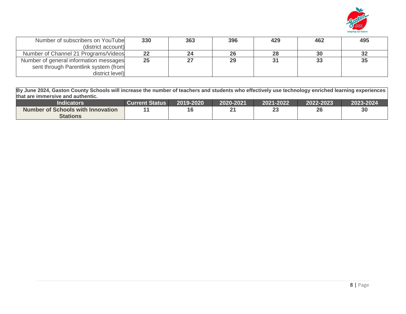

| Number of subscribers on YouTube       | 330 | 363 | 396 | 429 | 462 | 495 |
|----------------------------------------|-----|-----|-----|-----|-----|-----|
| (district account)                     |     |     |     |     |     |     |
| Number of Channel 21 Programs/Videos   | 22  |     | 26  | 28  |     | 32  |
| Number of general information messages | 25  |     | 29  | 31  |     | 35  |
| sent through Parentlink system (from   |     |     |     |     |     |     |
| district level)                        |     |     |     |     |     |     |

**By June 2024, Gaston County Schools will increase the number of teachers and students who effectively use technology enriched learning experiences that are immersive and authentic.**

| <b>Indicators</b>                 | <b>Current Status</b> | 2019-2020 | 2020-2021 | 2021-2022 | 2022-2023 | 2023-2024 |
|-----------------------------------|-----------------------|-----------|-----------|-----------|-----------|-----------|
| Number of Schools with Innovation |                       | 16        | ົາ^       | ົ<br>∠J   | 26        | 30        |
| <b>Stations</b>                   |                       |           |           |           |           |           |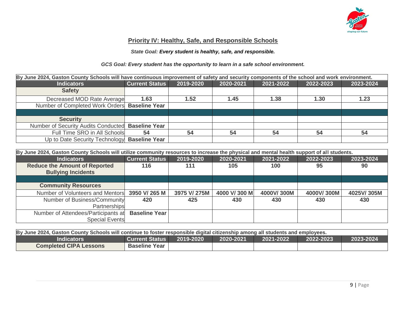

#### **Priority IV: Healthy, Safe, and Responsible Schools**

#### *State Goal: Every student is healthy, safe, and responsible.*

#### *GCS Goal: Every student has the opportunity to learn in a safe school environment.*

| By June 2024, Gaston County Schools will have continuous improvement of safety and security components of the school and work environment. |                       |                                                               |      |      |      |      |  |  |  |
|--------------------------------------------------------------------------------------------------------------------------------------------|-----------------------|---------------------------------------------------------------|------|------|------|------|--|--|--|
| <b>Indicators</b>                                                                                                                          | <b>Current Status</b> | 2019-2020<br>2023-2024<br>2020-2021<br>2021-2022<br>2022-2023 |      |      |      |      |  |  |  |
| <b>Safety</b>                                                                                                                              |                       |                                                               |      |      |      |      |  |  |  |
| Decreased MOD Rate Average                                                                                                                 | 1.63                  | 1.52                                                          | 1.45 | 1.38 | 1.30 | 1.23 |  |  |  |
| Number of Completed Work Orders Baseline Year                                                                                              |                       |                                                               |      |      |      |      |  |  |  |
|                                                                                                                                            |                       |                                                               |      |      |      |      |  |  |  |
| <b>Security</b>                                                                                                                            |                       |                                                               |      |      |      |      |  |  |  |
| Number of Security Audits Conducted                                                                                                        | <b>Baseline Year</b>  |                                                               |      |      |      |      |  |  |  |
| Full Time SRO in All Schools                                                                                                               | 54                    | 54                                                            | 54   | 54   | 54   | 54   |  |  |  |
| Up to Date Security Technology Baseline Year                                                                                               |                       |                                                               |      |      |      |      |  |  |  |

| By June 2024, Gaston County Schools will utilize community resources to increase the physical and mental health support of all students. |                       |              |              |            |            |            |  |
|------------------------------------------------------------------------------------------------------------------------------------------|-----------------------|--------------|--------------|------------|------------|------------|--|
| <b>Indicators</b>                                                                                                                        | <b>Current Status</b> | 2019-2020    | 2020-2021    | 2021-2022  | 2022-2023  | 2023-2024  |  |
| <b>Reduce the Amount of Reported</b><br><b>Bullying Incidents</b>                                                                        | 116                   | 111          | 105          | 100        | 95         | 90         |  |
|                                                                                                                                          |                       |              |              |            |            |            |  |
| <b>Community Resources</b>                                                                                                               |                       |              |              |            |            |            |  |
| Number of Volunteers and Mentors                                                                                                         | 3950 V/ 265 M         | 3975 V/ 275M | 4000 V/300 M | 4000V/300M | 4000V/300M | 4025V/305M |  |
| Number of Business/Community                                                                                                             | 420                   | 425          | 430          | 430        | 430        | 430        |  |
| Partnerships                                                                                                                             |                       |              |              |            |            |            |  |
| Number of Attendees/Participants at                                                                                                      | <b>Baseline Year</b>  |              |              |            |            |            |  |
| <b>Special Events</b>                                                                                                                    |                       |              |              |            |            |            |  |

| By June 2024, Gaston County Schools will continue to foster responsible digital citizenship among all students and employees. |                      |  |  |  |  |  |
|-------------------------------------------------------------------------------------------------------------------------------|----------------------|--|--|--|--|--|
| 2023-2024<br>2022-2023<br>2020-2021<br><b>Indicators</b><br><b>Current Status</b><br>2021-2022<br>12019-2020                  |                      |  |  |  |  |  |
| <b>Completed CIPA Lessons</b>                                                                                                 | <b>Baseline Year</b> |  |  |  |  |  |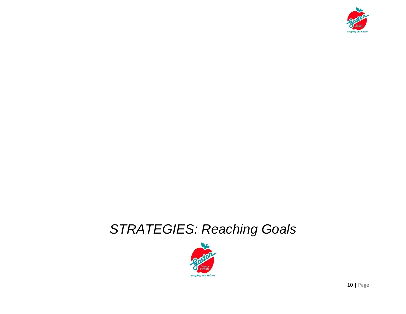

# *STRATEGIES: Reaching Goals*

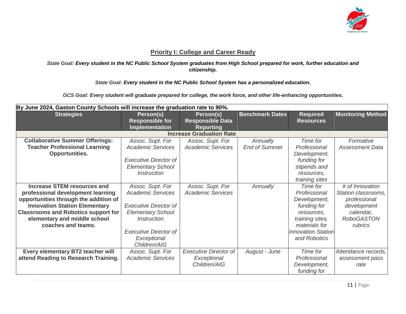

#### **Priority I: College and Career Ready**

#### *State Goal: Every student in the NC Public School System graduates from High School prepared for work, further education and citizenship.*

*State Goal: Every student in the NC Public School System has a personalized education.*

*GCS Goal: Every student will graduate prepared for college, the work force, and other life-enhancing opportunities.*

| By June 2024, Gaston County Schools will increase the graduation rate to 90%.                                                                                                                                                                                |                                                                                                                                                                                               |                                                             |                                  |                                                                                                                                                        |                                                                                                                    |
|--------------------------------------------------------------------------------------------------------------------------------------------------------------------------------------------------------------------------------------------------------------|-----------------------------------------------------------------------------------------------------------------------------------------------------------------------------------------------|-------------------------------------------------------------|----------------------------------|--------------------------------------------------------------------------------------------------------------------------------------------------------|--------------------------------------------------------------------------------------------------------------------|
| <b>Strategies</b>                                                                                                                                                                                                                                            | Person(s)<br><b>Responsible for</b><br>Implementation                                                                                                                                         | Person(s)<br><b>Responsible Data</b><br><b>Reporting</b>    | <b>Benchmark Dates</b>           | <b>Required</b><br><b>Resources</b>                                                                                                                    | <b>Monitoring Method</b>                                                                                           |
|                                                                                                                                                                                                                                                              |                                                                                                                                                                                               | <b>Increase Graduation Rate</b>                             |                                  |                                                                                                                                                        |                                                                                                                    |
| <b>Collaborative Summer Offerings:</b><br><b>Teacher Professional Learning</b><br><b>Opportunities.</b>                                                                                                                                                      | Assoc. Supt. For<br><b>Academic Services</b><br><b>Executive Director of</b><br><b>Elementary School</b><br><b>Instruction</b>                                                                | Assoc. Supt. For<br><b>Academic Services</b>                | Annually<br><b>End of Summer</b> | Time for<br>Professional<br>Development,<br>funding for<br>stipends and<br>resources,<br>training sites                                                | Formative<br><b>Assessment Data</b>                                                                                |
| <b>Increase STEM resources and</b><br>professional development learning<br>opportunities through the addition of<br><b>Innovation Station Elementary</b><br><b>Classrooms and Robotics support for</b><br>elementary and middle school<br>coaches and teams. | Assoc. Supt. For<br><b>Academic Services</b><br><b>Executive Director of</b><br><b>Elementary School</b><br><i>Instruction</i><br><b>Executive Director of</b><br>Exceptional<br>Children/AIG | Assoc. Supt. For<br><b>Academic Services</b>                | Annually                         | Time for<br>Professional<br>Development,<br>funding for<br>resources.<br>training sites.<br>materials for<br><b>Innovation Station</b><br>and Robotics | # of Innovation<br>Station classrooms,<br>professional<br>development<br>calendar,<br><b>RoboGASTON</b><br>rubrics |
| Every elementary BT2 teacher will<br>attend Reading to Research Training.                                                                                                                                                                                    | Assoc. Supt. For<br><b>Academic Services</b>                                                                                                                                                  | <b>Executive Director of</b><br>Exceptional<br>Children/AIG | August - June                    | Time for<br>Professional<br>Development,<br>funding for                                                                                                | Attendance records,<br>assessment pass<br>rate                                                                     |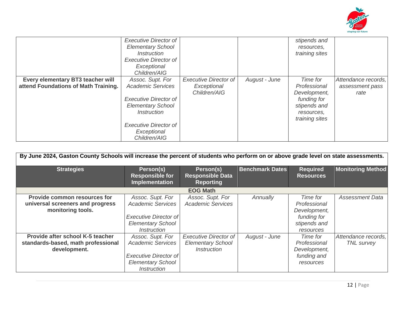

|                                      | <b>Executive Director of</b><br><b>Elementary School</b><br><b>Instruction</b><br><b>Executive Director of</b><br>Exceptional<br>Children/AIG |                              |               | stipends and<br>resources,<br>training sites |                     |
|--------------------------------------|-----------------------------------------------------------------------------------------------------------------------------------------------|------------------------------|---------------|----------------------------------------------|---------------------|
| Every elementary BT3 teacher will    | Assoc. Supt. For                                                                                                                              | <b>Executive Director of</b> | August - June | Time for                                     | Attendance records, |
| attend Foundations of Math Training. | <b>Academic Services</b>                                                                                                                      | Exceptional                  |               | Professional                                 | assessment pass     |
|                                      |                                                                                                                                               | Children/AIG                 |               | Development,                                 | rate                |
|                                      | <b>Executive Director of</b>                                                                                                                  |                              |               | funding for                                  |                     |
|                                      | <b>Elementary School</b>                                                                                                                      |                              |               | stipends and                                 |                     |
|                                      | <i><b>Instruction</b></i>                                                                                                                     |                              |               | resources,                                   |                     |
|                                      |                                                                                                                                               |                              |               | training sites                               |                     |
|                                      | <b>Executive Director of</b>                                                                                                                  |                              |               |                                              |                     |
|                                      | Exceptional                                                                                                                                   |                              |               |                                              |                     |
|                                      | Children/AIG                                                                                                                                  |                              |               |                                              |                     |

| By June 2024, Gaston County Schools will increase the percent of students who perform on or above grade level on state assessments. |                                                                                                                                       |                                                                                |                        |                                                                                      |                                          |  |
|-------------------------------------------------------------------------------------------------------------------------------------|---------------------------------------------------------------------------------------------------------------------------------------|--------------------------------------------------------------------------------|------------------------|--------------------------------------------------------------------------------------|------------------------------------------|--|
| <b>Strategies</b>                                                                                                                   | Person(s)<br><b>Responsible for</b><br>Implementation                                                                                 | Person(s)<br><b>Responsible Data</b><br><b>Reporting</b>                       | <b>Benchmark Dates</b> | <b>Required</b><br><b>Resources</b>                                                  | <b>Monitoring Method</b>                 |  |
|                                                                                                                                     |                                                                                                                                       | <b>EOG Math</b>                                                                |                        |                                                                                      |                                          |  |
| <b>Provide common resources for</b><br>universal screeners and progress<br>monitoring tools.                                        | Assoc. Supt. For<br><b>Academic Services</b><br><b>Executive Director of</b><br><b>Elementary School</b><br><i><b>Instruction</b></i> | Assoc. Supt. For<br><b>Academic Services</b>                                   | Annually               | Time for<br>Professional<br>Development,<br>funding for<br>stipends and<br>resources | <b>Assessment Data</b>                   |  |
| Provide after school K-5 teacher<br>standards-based, math professional<br>development.                                              | Assoc. Supt. For<br><b>Academic Services</b><br><b>Executive Director of</b><br><b>Elementary School</b><br><b>Instruction</b>        | <b>Executive Director of</b><br><b>Elementary School</b><br><i>Instruction</i> | August - June          | Time for<br>Professional<br>Development,<br>funding and<br>resources                 | Attendance records,<br><b>TNL</b> survey |  |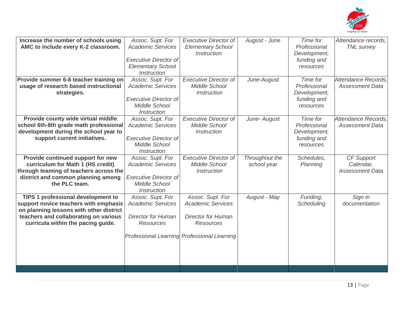

| Increase the number of schools using<br>AMC to include every K-2 classroom.<br>Provide summer 6-8 teacher training on                                                                                 | Assoc. Supt. For<br><b>Academic Services</b><br><b>Executive Director of</b><br><b>Elementary School</b><br><b>Instruction</b><br>Assoc. Supt. For | <b>Executive Director of</b><br><b>Elementary School</b><br><b>Instruction</b><br><b>Executive Director of</b>                               | August - June                 | Time for<br>Professional<br>Development,<br>funding and<br>resources<br>Time for | Attendance records,<br><b>TNL</b> survey<br>Attendance Records. |
|-------------------------------------------------------------------------------------------------------------------------------------------------------------------------------------------------------|----------------------------------------------------------------------------------------------------------------------------------------------------|----------------------------------------------------------------------------------------------------------------------------------------------|-------------------------------|----------------------------------------------------------------------------------|-----------------------------------------------------------------|
| usage of research based instructional<br>strategies.                                                                                                                                                  | <b>Academic Services</b><br><b>Executive Director of</b><br><b>Middle School</b><br><b>Instruction</b>                                             | <b>Middle School</b><br><b>Instruction</b>                                                                                                   | June-August                   | Professional<br>Development,<br>funding and<br>resources                         | <b>Assessment Data</b>                                          |
| Provide county wide virtual middle<br>school 6th-8th grade math professional<br>development during the school year to<br>support current initiatives.                                                 | Assoc. Supt. For<br><b>Academic Services</b><br><b>Executive Director of</b><br><b>Middle School</b><br><b>Instruction</b>                         | <b>Executive Director of</b><br><b>Middle School</b><br><b>Instruction</b>                                                                   | June- August                  | Time for<br>Professional<br>Development,<br>funding and<br>resources             | Attendance Records.<br><b>Assessment Data</b>                   |
| Provide continued support for new<br>curriculum for Math 1 (HS credit)<br>through teaming of teachers across the<br>district and common planning among<br>the PLC team.                               | Assoc. Supt. For<br><b>Academic Services</b><br><b>Executive Director of</b><br><b>Middle School</b><br><b>Instruction</b>                         | <b>Executive Director of</b><br><b>Middle School</b><br><b>Instruction</b>                                                                   | Throughout the<br>school year | Schedules,<br>Planning                                                           | CF Support<br>Calendar,<br><b>Assessment Data</b>               |
| TIPS 1 professional development to<br>support novice teachers with emphasis<br>on planning lessons with other district<br>teachers and collaborating on various<br>curricula within the pacing guide. | Assoc. Supt. For<br><b>Academic Services</b><br><b>Director for Human</b><br><b>Resources</b>                                                      | Assoc. Supt. For<br><b>Academic Services</b><br><b>Director for Human</b><br><b>Resources</b><br>Professional Learning Professional Learning | August - May                  | Funding,<br>Scheduling                                                           | Sign in<br>documentation                                        |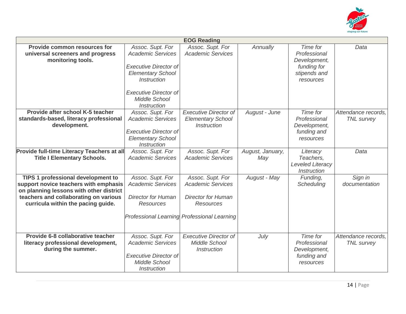

|                                                                                                                                                                                                              |                                                                                                                                                                                                       | <b>EOG Reading</b>                                                                                                                           |                         |                                                                                      |                                          |
|--------------------------------------------------------------------------------------------------------------------------------------------------------------------------------------------------------------|-------------------------------------------------------------------------------------------------------------------------------------------------------------------------------------------------------|----------------------------------------------------------------------------------------------------------------------------------------------|-------------------------|--------------------------------------------------------------------------------------|------------------------------------------|
| <b>Provide common resources for</b><br>universal screeners and progress<br>monitoring tools.                                                                                                                 | Assoc. Supt. For<br><b>Academic Services</b><br><b>Executive Director of</b><br><b>Elementary School</b><br><i><b>Instruction</b></i><br><b>Executive Director of</b><br>Middle School<br>Instruction | Assoc. Supt. For<br><b>Academic Services</b>                                                                                                 | Annually                | Time for<br>Professional<br>Development,<br>funding for<br>stipends and<br>resources | Data                                     |
| Provide after school K-5 teacher<br>standards-based, literacy professional<br>development.                                                                                                                   | Assoc. Supt. For<br><b>Academic Services</b><br><b>Executive Director of</b><br><b>Elementary School</b><br><i><b>Instruction</b></i>                                                                 | <b>Executive Director of</b><br><b>Elementary School</b><br><i><b>Instruction</b></i>                                                        | August - June           | Time for<br>Professional<br>Development,<br>funding and<br>resources                 | Attendance records.<br><b>TNL</b> survey |
| Provide full-time Literacy Teachers at all<br><b>Title I Elementary Schools.</b>                                                                                                                             | Assoc. Supt. For<br><b>Academic Services</b>                                                                                                                                                          | Assoc. Supt. For<br><b>Academic Services</b>                                                                                                 | August, January,<br>May | Literacy<br>Teachers.<br>Leveled Literacy<br><b>Instruction</b>                      | Data                                     |
| <b>TIPS 1 professional development to</b><br>support novice teachers with emphasis<br>on planning lessons with other district<br>teachers and collaborating on various<br>curricula within the pacing guide. | Assoc. Supt. For<br><b>Academic Services</b><br><b>Director for Human</b><br><b>Resources</b>                                                                                                         | Assoc. Supt. For<br><b>Academic Services</b><br><b>Director for Human</b><br><b>Resources</b><br>Professional Learning Professional Learning | August - May            | Funding,<br>Scheduling                                                               | Sign in<br>documentation                 |
| Provide 6-8 collaborative teacher<br>literacy professional development,<br>during the summer.                                                                                                                | Assoc. Supt. For<br><b>Academic Services</b><br><b>Executive Director of</b><br><b>Middle School</b><br><b>Instruction</b>                                                                            | <b>Executive Director of</b><br><b>Middle School</b><br><i><b>Instruction</b></i>                                                            | July                    | Time for<br>Professional<br>Development,<br>funding and<br>resources                 | Attendance records.<br><b>TNL</b> survey |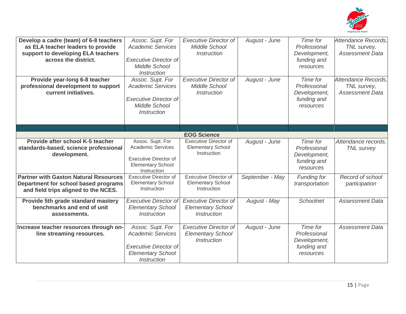

| Develop a cadre (team) of 6-8 teachers<br>as ELA teacher leaders to provide<br>support to developing ELA teachers<br>across the district.<br>Provide year-long 6-8 teacher<br>professional development to support<br>current initiatives. | Assoc. Supt. For<br><b>Academic Services</b><br><b>Executive Director of</b><br>Middle School<br><b>Instruction</b><br>Assoc. Supt. For<br><b>Academic Services</b><br><b>Executive Director of</b><br><b>Middle School</b><br><i><b>Instruction</b></i> | <b>Executive Director of</b><br>Middle School<br><i>Instruction</i><br><b>Executive Director of</b><br><b>Middle School</b><br><i><b>Instruction</b></i> | August - June<br>August - June | Time for<br>Professional<br>Development,<br>funding and<br>resources<br>Time for<br>Professional<br>Development,<br>funding and<br>resources | Attendance Records,<br>TNL survey,<br><b>Assessment Data</b><br>Attendance Records.<br>TNL survey,<br><b>Assessment Data</b> |
|-------------------------------------------------------------------------------------------------------------------------------------------------------------------------------------------------------------------------------------------|----------------------------------------------------------------------------------------------------------------------------------------------------------------------------------------------------------------------------------------------------------|----------------------------------------------------------------------------------------------------------------------------------------------------------|--------------------------------|----------------------------------------------------------------------------------------------------------------------------------------------|------------------------------------------------------------------------------------------------------------------------------|
|                                                                                                                                                                                                                                           |                                                                                                                                                                                                                                                          |                                                                                                                                                          |                                |                                                                                                                                              |                                                                                                                              |
|                                                                                                                                                                                                                                           |                                                                                                                                                                                                                                                          | <b>EOG Science</b>                                                                                                                                       |                                |                                                                                                                                              |                                                                                                                              |
| Provide after school K-5 teacher<br>standards-based, science professional<br>development.                                                                                                                                                 | Assoc. Supt. For<br><b>Academic Services</b><br><b>Executive Director of</b><br><b>Elementary School</b><br>Instruction                                                                                                                                  | <b>Executive Director of</b><br><b>Elementary School</b><br>Instruction                                                                                  | August - June                  | Time for<br>Professional<br>Development,<br>funding and<br>resources                                                                         | Attendance records.<br><b>TNL</b> survey                                                                                     |
| <b>Partner with Gaston Natural Resources</b><br>Department for school based programs<br>and field trips aligned to the NCES.                                                                                                              | <b>Executive Director of</b><br><b>Elementary School</b><br>Instruction                                                                                                                                                                                  | <b>Executive Director of</b><br><b>Elementary School</b><br>Instruction                                                                                  | September - May                | <b>Funding for</b><br>transportation                                                                                                         | Record of school<br>participation                                                                                            |
| Provide 5th grade standard mastery<br>benchmarks and end of unit<br>assessments.                                                                                                                                                          | <b>Executive Director of</b><br><b>Elementary School</b><br><b>Instruction</b>                                                                                                                                                                           | <b>Executive Director of</b><br><b>Elementary School</b><br><b>Instruction</b>                                                                           | August - May                   | <b>Schoolnet</b>                                                                                                                             | <b>Assessment Data</b>                                                                                                       |
| Increase teacher resources through on-<br>line streaming resources.                                                                                                                                                                       | Assoc. Supt. For<br><b>Academic Services</b><br><b>Executive Director of</b><br><b>Elementary School</b><br>Instruction                                                                                                                                  | <b>Executive Director of</b><br><b>Elementary School</b><br><i><b>Instruction</b></i>                                                                    | August - June                  | Time for<br>Professional<br>Development,<br>funding and<br>resources                                                                         | <b>Assessment Data</b>                                                                                                       |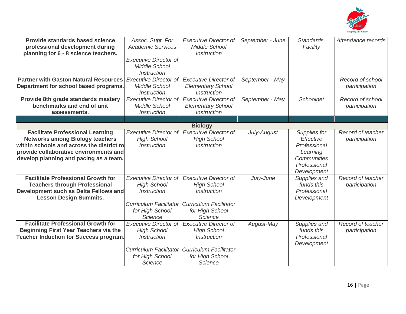

| <b>Provide standards based science</b>                                              | Assoc. Supt. For              | <b>Executive Director of</b>        | September - June | Standards,              | Attendance records |
|-------------------------------------------------------------------------------------|-------------------------------|-------------------------------------|------------------|-------------------------|--------------------|
| professional development during                                                     | <b>Academic Services</b>      | Middle School<br><b>Instruction</b> |                  | Facility                |                    |
| planning for 6 - 8 science teachers.                                                | <b>Executive Director of</b>  |                                     |                  |                         |                    |
|                                                                                     | <b>Middle School</b>          |                                     |                  |                         |                    |
|                                                                                     | <b>Instruction</b>            |                                     |                  |                         |                    |
| <b>Partner with Gaston Natural Resources</b>                                        | <b>Executive Director of</b>  | <b>Executive Director of</b>        | September - May  |                         | Record of school   |
| Department for school based programs.                                               | <b>Middle School</b>          | <b>Elementary School</b>            |                  |                         | participation      |
|                                                                                     | <i><b>Instruction</b></i>     | <b>Instruction</b>                  |                  |                         |                    |
| Provide 8th grade standards mastery                                                 | <b>Executive Director of</b>  | <b>Executive Director of</b>        | September - May  | Schoolnet               | Record of school   |
| benchmarks and end of unit                                                          | Middle School                 | <b>Elementary School</b>            |                  |                         | participation      |
| assessments.                                                                        | <b>Instruction</b>            | <b>Instruction</b>                  |                  |                         |                    |
|                                                                                     |                               |                                     |                  |                         |                    |
|                                                                                     |                               | <b>Biology</b>                      |                  |                         |                    |
| <b>Facilitate Professional Learning</b>                                             | <b>Executive Director of</b>  | <b>Executive Director of</b>        | July-August      | Supplies for            | Record of teacher  |
| <b>Networks among Biology teachers</b>                                              | <b>High School</b>            | <b>High School</b>                  |                  | Effective               | participation      |
| within schools and across the district to<br>provide collaborative environments and | <i><b>Instruction</b></i>     | <b>Instruction</b>                  |                  | Professional            |                    |
| develop planning and pacing as a team.                                              |                               |                                     |                  | Learning<br>Communities |                    |
|                                                                                     |                               |                                     |                  | Professional            |                    |
|                                                                                     |                               |                                     |                  | Development             |                    |
| <b>Facilitate Professional Growth for</b>                                           | <b>Executive Director of</b>  | <b>Executive Director of</b>        | July-June        | Supplies and            | Record of teacher  |
| <b>Teachers through Professional</b>                                                | <b>High School</b>            | <b>High School</b>                  |                  | funds this              | participation      |
| Development such as Delta Fellows and                                               | <b>Instruction</b>            | <b>Instruction</b>                  |                  | Professional            |                    |
| <b>Lesson Design Summits.</b>                                                       |                               |                                     |                  | Development             |                    |
|                                                                                     | <b>Curriculum Facilitator</b> | <b>Curriculum Facilitator</b>       |                  |                         |                    |
|                                                                                     | for High School               | for High School                     |                  |                         |                    |
|                                                                                     | Science                       | <b>Science</b>                      |                  |                         |                    |
| <b>Facilitate Professional Growth for</b>                                           | <b>Executive Director of</b>  | <b>Executive Director of</b>        | August-May       | Supplies and            | Record of teacher  |
| <b>Beginning First Year Teachers via the</b>                                        | <b>High School</b>            | <b>High School</b>                  |                  | funds this              | participation      |
| <b>Teacher Induction for Success program.</b>                                       | <i>Instruction</i>            | <b>Instruction</b>                  |                  | Professional            |                    |
|                                                                                     | <b>Curriculum Facilitator</b> | <b>Curriculum Facilitator</b>       |                  | Development             |                    |
|                                                                                     | for High School               | for High School                     |                  |                         |                    |
|                                                                                     | Science                       | Science                             |                  |                         |                    |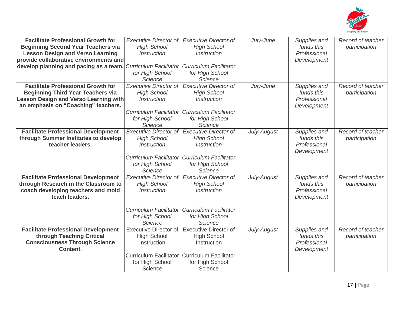

| <b>Facilitate Professional Growth for</b><br><b>Beginning Second Year Teachers via</b><br><b>Lesson Design and Verso Learning</b><br>provide collaborative environments and<br>develop planning and pacing as a team. | <b>Executive Director of</b><br><b>High School</b><br><b>Instruction</b><br><b>Curriculum Facilitator</b><br>for High School<br>Science        | <b>Executive Director of</b><br><b>High School</b><br><i><b>Instruction</b></i><br><b>Curriculum Facilitator</b><br>for High School<br>Science   | July-June   | Supplies and<br>funds this<br>Professional<br>Development | Record of teacher<br>participation |
|-----------------------------------------------------------------------------------------------------------------------------------------------------------------------------------------------------------------------|------------------------------------------------------------------------------------------------------------------------------------------------|--------------------------------------------------------------------------------------------------------------------------------------------------|-------------|-----------------------------------------------------------|------------------------------------|
| <b>Facilitate Professional Growth for</b><br><b>Beginning Third Year Teachers via</b><br><b>Lesson Design and Verso Learning with</b><br>an emphasis on "Coaching" teachers.                                          | <b>Executive Director of</b><br><b>High School</b><br><i><b>Instruction</b></i><br><b>Curriculum Facilitator</b><br>for High School<br>Science | <b>Executive Director of</b><br><b>High School</b><br><i><b>Instruction</b></i><br><b>Curriculum Facilitator</b><br>for High School<br>Science   | July-June   | Supplies and<br>funds this<br>Professional<br>Development | Record of teacher<br>participation |
| <b>Facilitate Professional Development</b><br>through Summer Institutes to develop<br>teacher leaders.                                                                                                                | <b>Executive Director of</b><br><b>High School</b><br><b>Instruction</b><br><b>Curriculum Facilitator</b><br>for High School<br>Science        | <b>Executive Director of</b><br><b>High School</b><br><i><b>Instruction</b></i><br><b>Curriculum Facilitator</b><br>for High School<br>Science   | July-August | Supplies and<br>funds this<br>Professional<br>Development | Record of teacher<br>participation |
| <b>Facilitate Professional Development</b><br>through Research in the Classroom to<br>coach developing teachers and mold<br>teach leaders.                                                                            | <b>Executive Director of</b><br><b>High School</b><br><b>Instruction</b><br><b>Curriculum Facilitator</b><br>for High School<br>Science        | <b>Executive Director of</b><br><b>High School</b><br><i><b>Instruction</b></i><br><b>Curriculum Facilitator</b><br>for High School<br>Science   | July-August | Supplies and<br>funds this<br>Professional<br>Development | Record of teacher<br>participation |
| <b>Facilitate Professional Development</b><br>through Teaching Critical<br><b>Consciousness Through Science</b><br>Content.                                                                                           | <b>Executive Director of</b><br><b>High School</b><br>Instruction<br>for High School<br>Science                                                | <b>Executive Director of</b><br><b>High School</b><br>Instruction<br>Curriculum Facilitator Curriculum Facilitator<br>for High School<br>Science | July-August | Supplies and<br>funds this<br>Professional<br>Development | Record of teacher<br>participation |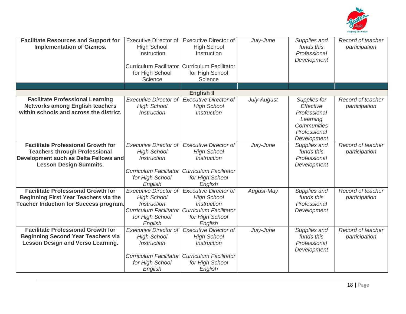

| <b>Facilitate Resources and Support for</b><br><b>Implementation of Gizmos.</b>                                                                             | <b>Executive Director of</b><br><b>High School</b><br>Instruction<br><b>Curriculum Facilitator</b><br>for High School<br>Science               | <b>Executive Director of</b><br><b>High School</b><br>Instruction<br><b>Curriculum Facilitator</b><br>for High School<br>Science               | July-June   | Supplies and<br>funds this<br>Professional<br>Development                                           | Record of teacher<br>participation |
|-------------------------------------------------------------------------------------------------------------------------------------------------------------|------------------------------------------------------------------------------------------------------------------------------------------------|------------------------------------------------------------------------------------------------------------------------------------------------|-------------|-----------------------------------------------------------------------------------------------------|------------------------------------|
|                                                                                                                                                             |                                                                                                                                                | <b>English II</b>                                                                                                                              |             |                                                                                                     |                                    |
| <b>Facilitate Professional Learning</b><br><b>Networks among English teachers</b><br>within schools and across the district.                                | <b>Executive Director of</b><br><b>High School</b><br>Instruction                                                                              | <b>Executive Director of</b><br><b>High School</b><br><b>Instruction</b>                                                                       | July-August | Supplies for<br>Effective<br>Professional<br>Learning<br>Communities<br>Professional<br>Development | Record of teacher<br>participation |
| <b>Facilitate Professional Growth for</b><br><b>Teachers through Professional</b><br>Development such as Delta Fellows and<br><b>Lesson Design Summits.</b> | <b>Executive Director of</b><br><b>High School</b><br><b>Instruction</b><br><b>Curriculum Facilitator</b><br>for High School<br>English        | <b>Executive Director of</b><br><b>High School</b><br><b>Instruction</b><br><b>Curriculum Facilitator</b><br>for High School<br>English        | July-June   | Supplies and<br>funds this<br>Professional<br>Development                                           | Record of teacher<br>participation |
| <b>Facilitate Professional Growth for</b><br><b>Beginning First Year Teachers via the</b><br><b>Teacher Induction for Success program.</b>                  | <b>Executive Director of</b><br><b>High School</b><br><i><b>Instruction</b></i><br><b>Curriculum Facilitator</b><br>for High School<br>English | <b>Executive Director of</b><br><b>High School</b><br><i><b>Instruction</b></i><br><b>Curriculum Facilitator</b><br>for High School<br>English | August-May  | Supplies and<br>funds this<br>Professional<br>Development                                           | Record of teacher<br>participation |
| <b>Facilitate Professional Growth for</b><br><b>Beginning Second Year Teachers via</b><br><b>Lesson Design and Verso Learning.</b>                          | <b>Executive Director of</b><br><b>High School</b><br><i><b>Instruction</b></i><br><b>Curriculum Facilitator</b><br>for High School<br>English | <b>Executive Director of</b><br><b>High School</b><br><b>Instruction</b><br><b>Curriculum Facilitator</b><br>for High School<br>English        | July-June   | Supplies and<br>funds this<br>Professional<br>Development                                           | Record of teacher<br>participation |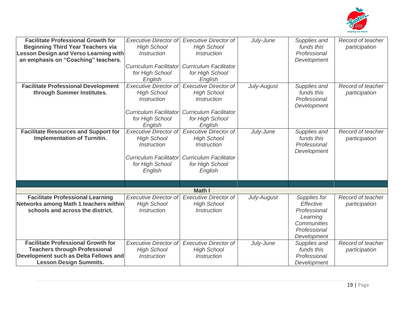

| <b>Facilitate Professional Growth for</b><br><b>Beginning Third Year Teachers via</b><br><b>Lesson Design and Verso Learning with</b><br>an emphasis on "Coaching" teachers. | <b>Executive Director of</b><br><b>High School</b><br><i><b>Instruction</b></i><br><b>Curriculum Facilitator</b><br>for High School<br>English<br><b>Executive Director of</b> | <b>Executive Director of</b><br><b>High School</b><br><b>Instruction</b><br><b>Curriculum Facilitator</b><br>for High School<br>English<br><b>Executive Director of</b> | July-June   | Supplies and<br>funds this<br>Professional<br>Development                                           | Record of teacher<br>participation<br>Record of teacher |
|------------------------------------------------------------------------------------------------------------------------------------------------------------------------------|--------------------------------------------------------------------------------------------------------------------------------------------------------------------------------|-------------------------------------------------------------------------------------------------------------------------------------------------------------------------|-------------|-----------------------------------------------------------------------------------------------------|---------------------------------------------------------|
| <b>Facilitate Professional Development</b><br>through Summer Institutes.                                                                                                     | <b>High School</b><br><i><b>Instruction</b></i><br><b>Curriculum Facilitator</b><br>for High School<br>English                                                                 | <b>High School</b><br><b>Instruction</b><br><b>Curriculum Facilitator</b><br>for High School<br>English                                                                 | July-August | Supplies and<br>funds this<br>Professional<br>Development                                           | participation                                           |
| <b>Facilitate Resources and Support for</b><br><b>Implementation of Turnitin.</b>                                                                                            | <b>Executive Director of</b><br><b>High School</b><br><i><b>Instruction</b></i><br><b>Curriculum Facilitator</b><br>for High School<br>English                                 | <b>Executive Director of</b><br><b>High School</b><br><i><b>Instruction</b></i><br><b>Curriculum Facilitator</b><br>for High School<br>English                          | July-June   | Supplies and<br>funds this<br>Professional<br>Development                                           | Record of teacher<br>participation                      |
|                                                                                                                                                                              |                                                                                                                                                                                | <b>Math I</b>                                                                                                                                                           |             |                                                                                                     |                                                         |
| <b>Facilitate Professional Learning</b><br>Networks among Math 1 teachers within<br>schools and across the district.                                                         | <b>Executive Director of</b><br><b>High School</b><br><b>Instruction</b>                                                                                                       | <b>Executive Director of</b><br><b>High School</b><br><b>Instruction</b>                                                                                                | July-August | Supplies for<br>Effective<br>Professional<br>Learning<br>Communities<br>Professional<br>Development | Record of teacher<br>participation                      |
| <b>Facilitate Professional Growth for</b><br><b>Teachers through Professional</b><br>Development such as Delta Fellows and<br><b>Lesson Design Summits.</b>                  | <b>Executive Director of</b><br><b>High School</b><br><i><b>Instruction</b></i>                                                                                                | <b>Executive Director of</b><br><b>High School</b><br><b>Instruction</b>                                                                                                | July-June   | Supplies and<br>funds this<br>Professional<br>Development                                           | Record of teacher<br>participation                      |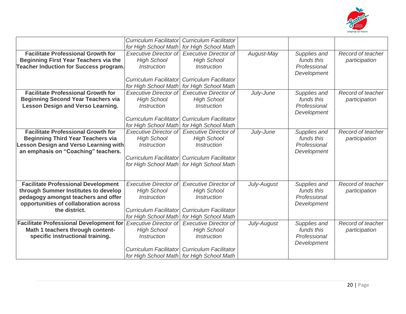

|                                                | <b>Curriculum Facilitator</b><br>for High School Math | <b>Curriculum Facilitator</b><br>for High School Math |             |              |                   |
|------------------------------------------------|-------------------------------------------------------|-------------------------------------------------------|-------------|--------------|-------------------|
| <b>Facilitate Professional Growth for</b>      | <b>Executive Director of</b>                          | <b>Executive Director of</b>                          | August-May  | Supplies and | Record of teacher |
|                                                |                                                       |                                                       |             | funds this   |                   |
| <b>Beginning First Year Teachers via the</b>   | <b>High School</b>                                    | <b>High School</b>                                    |             |              | participation     |
| <b>Teacher Induction for Success program.</b>  | <i><b>Instruction</b></i>                             | <i><b>Instruction</b></i>                             |             | Professional |                   |
|                                                |                                                       |                                                       |             | Development  |                   |
|                                                | <b>Curriculum Facilitator</b>                         | <b>Curriculum Facilitator</b>                         |             |              |                   |
|                                                | for High School Math                                  | for High School Math                                  |             |              |                   |
| <b>Facilitate Professional Growth for</b>      | <b>Executive Director of</b>                          | <b>Executive Director of</b>                          | July-June   | Supplies and | Record of teacher |
| <b>Beginning Second Year Teachers via</b>      | <b>High School</b>                                    | <b>High School</b>                                    |             | funds this   | participation     |
| <b>Lesson Design and Verso Learning.</b>       | <i><b>Instruction</b></i>                             | <i><b>Instruction</b></i>                             |             | Professional |                   |
|                                                |                                                       |                                                       |             | Development  |                   |
|                                                | <b>Curriculum Facilitator</b>                         | <b>Curriculum Facilitator</b>                         |             |              |                   |
|                                                | for High School Math                                  | for High School Math                                  |             |              |                   |
| <b>Facilitate Professional Growth for</b>      | <b>Executive Director of</b>                          | <b>Executive Director of</b>                          | July-June   | Supplies and | Record of teacher |
| <b>Beginning Third Year Teachers via</b>       | <b>High School</b>                                    | <b>High School</b>                                    |             | funds this   | participation     |
| <b>Lesson Design and Verso Learning with</b>   | <i><b>Instruction</b></i>                             | <b>Instruction</b>                                    |             | Professional |                   |
| an emphasis on "Coaching" teachers.            |                                                       |                                                       |             | Development  |                   |
|                                                | <b>Curriculum Facilitator</b>                         | <b>Curriculum Facilitator</b>                         |             |              |                   |
|                                                | for High School Math                                  | for High School Math                                  |             |              |                   |
|                                                |                                                       |                                                       |             |              |                   |
|                                                |                                                       |                                                       |             |              |                   |
| <b>Facilitate Professional Development</b>     | <b>Executive Director of</b>                          | <b>Executive Director of</b>                          | July-August | Supplies and | Record of teacher |
| through Summer Institutes to develop           | <b>High School</b>                                    | <b>High School</b>                                    |             | funds this   | participation     |
| pedagogy amongst teachers and offer            | <i><b>Instruction</b></i>                             | <i><b>Instruction</b></i>                             |             | Professional |                   |
| opportunities of collaboration across          |                                                       |                                                       |             | Development  |                   |
| the district.                                  | <b>Curriculum Facilitator</b>                         | <b>Curriculum Facilitator</b>                         |             |              |                   |
|                                                | for High School Math                                  | for High School Math                                  |             |              |                   |
| <b>Facilitate Professional Development for</b> | <b>Executive Director of</b>                          | <b>Executive Director of</b>                          | July-August | Supplies and | Record of teacher |
| Math 1 teachers through content-               | <b>High School</b>                                    | <b>High School</b>                                    |             | funds this   | participation     |
| specific instructional training.               | <i><b>Instruction</b></i>                             | <b>Instruction</b>                                    |             | Professional |                   |
|                                                |                                                       |                                                       |             | Development  |                   |
|                                                | Curriculum Facilitator                                | <b>Curriculum Facilitator</b>                         |             |              |                   |
|                                                |                                                       | for High School Math for High School Math             |             |              |                   |
|                                                |                                                       |                                                       |             |              |                   |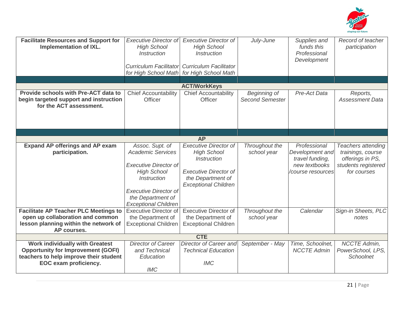

| <b>Facilitate Resources and Support for</b><br><b>Implementation of IXL.</b>                                                                           | <b>Executive Director of</b><br><b>High School</b><br><b>Instruction</b><br><b>Curriculum Facilitator</b><br>for High School Math                                                                           | <b>Executive Director of</b><br><b>High School</b><br><i><b>Instruction</b></i><br><b>Curriculum Facilitator</b><br>for High School Math                     | July-June                              | Supplies and<br>funds this<br>Professional<br>Development                                | Record of teacher<br>participation                                                                |
|--------------------------------------------------------------------------------------------------------------------------------------------------------|-------------------------------------------------------------------------------------------------------------------------------------------------------------------------------------------------------------|--------------------------------------------------------------------------------------------------------------------------------------------------------------|----------------------------------------|------------------------------------------------------------------------------------------|---------------------------------------------------------------------------------------------------|
|                                                                                                                                                        |                                                                                                                                                                                                             | <b>ACT/WorkKeys</b>                                                                                                                                          |                                        |                                                                                          |                                                                                                   |
| Provide schools with Pre-ACT data to<br>begin targeted support and instruction<br>for the ACT assessment.                                              | <b>Chief Accountability</b><br><b>Officer</b>                                                                                                                                                               | Chief Accountability<br>Officer                                                                                                                              | Beginning of<br><b>Second Semester</b> | Pre-Act Data                                                                             | Reports,<br><b>Assessment Data</b>                                                                |
|                                                                                                                                                        |                                                                                                                                                                                                             |                                                                                                                                                              |                                        |                                                                                          |                                                                                                   |
|                                                                                                                                                        |                                                                                                                                                                                                             | <b>AP</b>                                                                                                                                                    |                                        |                                                                                          |                                                                                                   |
| <b>Expand AP offerings and AP exam</b><br>participation.                                                                                               | Assoc. Supt. of<br><b>Academic Services</b><br><b>Executive Director of</b><br><b>High School</b><br><b>Instruction</b><br><b>Executive Director of</b><br>the Department of<br><b>Exceptional Children</b> | <b>Executive Director of</b><br><b>High School</b><br><b>Instruction</b><br><b>Executive Director of</b><br>the Department of<br><b>Exceptional Children</b> | Throughout the<br>school year          | Professional<br>Development and<br>travel funding,<br>new textbooks<br>/course resources | Teachers attending<br>trainings, course<br>offerings in PS,<br>students registered<br>for courses |
| <b>Facilitate AP Teacher PLC Meetings to</b><br>open up collaboration and common<br>lesson planning within the network of<br>AP courses.               | <b>Executive Director of</b><br>the Department of<br><b>Exceptional Children</b>                                                                                                                            | <b>Executive Director of</b><br>the Department of<br><b>Exceptional Children</b>                                                                             | Throughout the<br>school year          | Calendar                                                                                 | Sign-in Sheets, PLC<br>notes                                                                      |
|                                                                                                                                                        |                                                                                                                                                                                                             | <b>CTE</b>                                                                                                                                                   |                                        |                                                                                          |                                                                                                   |
| <b>Work individually with Greatest</b><br><b>Opportunity for Improvement (GOFI)</b><br>teachers to help improve their student<br>EOC exam proficiency. | <b>Director of Career</b><br>and Technical<br>Education<br><b>IMC</b>                                                                                                                                       | Director of Career and<br><b>Technical Education</b><br><b>IMC</b>                                                                                           | September - May                        | Time, Schoolnet,<br><b>NCCTE Admin</b>                                                   | <b>NCCTE Admin,</b><br>PowerSchool, LPS,<br>Schoolnet                                             |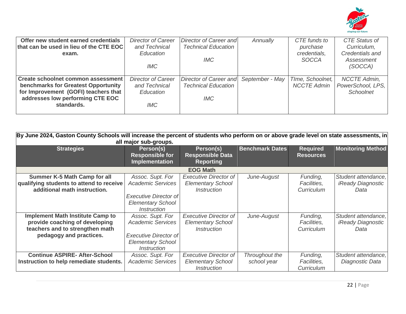

| Offer new student earned credentials<br>that can be used in lieu of the CTE EOC<br>exam.                                                                            | <b>Director of Career</b><br>and Technical<br>Education<br>IMC  | Director of Career and<br><b>Technical Education</b><br><b>IMC</b> | Annually        | CTE funds to<br>purchase<br>credentials,<br><b>SOCCA</b> | CTE Status of<br>Curriculum,<br>Credentials and<br>Assessment<br>(SOCCA) |
|---------------------------------------------------------------------------------------------------------------------------------------------------------------------|-----------------------------------------------------------------|--------------------------------------------------------------------|-----------------|----------------------------------------------------------|--------------------------------------------------------------------------|
| Create schoolnet common assessment<br>benchmarks for Greatest Opportunity<br>for Improvement (GOFI) teachers that<br>addresses low performing CTE EOC<br>standards. | <b>Director of Career</b><br>and Technical<br>Education<br>IMC- | Director of Career and<br><b>Technical Education</b><br><b>IMC</b> | September - May | TIme, Schoolnet,<br><b>NCCTE Admin</b>                   | <b>NCCTE Admin.</b><br>PowerSchool, LPS,<br><b>Schoolnet</b>             |

| By June 2024, Gaston County Schools will increase the percent of students who perform on or above grade level on state assessments, in<br>all major sub-groups. |                                                                                |                                                          |                        |                                     |                                         |  |  |  |
|-----------------------------------------------------------------------------------------------------------------------------------------------------------------|--------------------------------------------------------------------------------|----------------------------------------------------------|------------------------|-------------------------------------|-----------------------------------------|--|--|--|
| <b>Strategies</b>                                                                                                                                               | Person(s)<br><b>Responsible for</b><br><b>Implementation</b>                   | Person(s)<br><b>Responsible Data</b><br><b>Reporting</b> | <b>Benchmark Dates</b> | <b>Required</b><br><b>Resources</b> | <b>Monitoring Method</b>                |  |  |  |
|                                                                                                                                                                 |                                                                                | <b>EOG Math</b>                                          |                        |                                     |                                         |  |  |  |
| <b>Summer K-5 Math Camp for all</b>                                                                                                                             | Assoc. Supt. For                                                               | <b>Executive Director of</b>                             | June-August            | Funding,                            | Student attendance,                     |  |  |  |
| qualifying students to attend to receive<br>additional math instruction.                                                                                        | <b>Academic Services</b>                                                       | <b>Elementary School</b><br><i><b>Instruction</b></i>    |                        | Facilities,<br>Curriculum           | <i><b>iReady Diagnostic</b></i><br>Data |  |  |  |
|                                                                                                                                                                 | <b>Executive Director of</b><br><b>Elementary School</b><br><i>Instruction</i> |                                                          |                        |                                     |                                         |  |  |  |
| <b>Implement Math Institute Camp to</b>                                                                                                                         | Assoc. Supt. For                                                               | <b>Executive Director of</b>                             | June-August            | Funding,                            | Student attendance,                     |  |  |  |
| provide coaching of developing                                                                                                                                  | <b>Academic Services</b>                                                       | <b>Elementary School</b>                                 |                        | Facilities,                         | <i><b>iReady Diagnostic</b></i>         |  |  |  |
| teachers and to strengthen math                                                                                                                                 |                                                                                | <i>Instruction</i>                                       |                        | Curriculum                          | Data                                    |  |  |  |
| pedagogy and practices.                                                                                                                                         | Executive Director of<br><b>Elementary School</b><br><i><b>Instruction</b></i> |                                                          |                        |                                     |                                         |  |  |  |
| <b>Continue ASPIRE- After-School</b>                                                                                                                            | Assoc. Supt. For                                                               | <b>Executive Director of</b>                             | Throughout the         | Funding,                            | Student attendance,                     |  |  |  |
| Instruction to help remediate students.                                                                                                                         | <b>Academic Services</b>                                                       | <b>Elementary School</b><br><b>Instruction</b>           | school year            | Facilities,<br>Curriculum           | Diagnostic Data                         |  |  |  |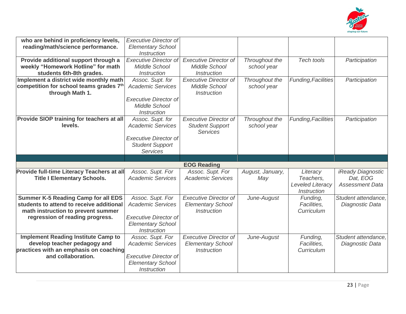

| who are behind in proficiency levels,<br>reading/math/science performance.                                                   | <b>Executive Director of</b><br><b>Elementary School</b>                       |                                                                                |                               |                                       |                                        |
|------------------------------------------------------------------------------------------------------------------------------|--------------------------------------------------------------------------------|--------------------------------------------------------------------------------|-------------------------------|---------------------------------------|----------------------------------------|
|                                                                                                                              | <b>Instruction</b>                                                             |                                                                                |                               |                                       |                                        |
| Provide additional support through a                                                                                         | <b>Executive Director of</b>                                                   | <b>Executive Director of</b>                                                   | Throughout the                | Tech tools                            | Participation                          |
| weekly "Homework Hotline" for math                                                                                           | <b>Middle School</b>                                                           | <b>Middle School</b>                                                           | school year                   |                                       |                                        |
| students 6th-8th grades.                                                                                                     | <b>Instruction</b>                                                             | <b>Instruction</b>                                                             |                               |                                       |                                        |
| Implement a district wide monthly math                                                                                       | Assoc. Supt. for                                                               | <b>Executive Director of</b>                                                   | Throughout the                | <b>Funding, Facilities</b>            | Participation                          |
| competition for school teams grades 7th                                                                                      | <b>Academic Services</b>                                                       | Middle School                                                                  | school year                   |                                       |                                        |
| through Math 1.                                                                                                              |                                                                                | <i><b>Instruction</b></i>                                                      |                               |                                       |                                        |
|                                                                                                                              | <b>Executive Director of</b><br><b>Middle School</b><br>Instruction            |                                                                                |                               |                                       |                                        |
| Provide SIOP training for teachers at all<br>levels.                                                                         | Assoc. Supt. for<br><b>Academic Services</b>                                   | <b>Executive Director of</b><br><b>Student Support</b><br><b>Services</b>      | Throughout the<br>school year | Funding, Facilities                   | Participation                          |
|                                                                                                                              | <b>Executive Director of</b><br><b>Student Support</b><br><b>Services</b>      |                                                                                |                               |                                       |                                        |
|                                                                                                                              |                                                                                |                                                                                |                               |                                       |                                        |
|                                                                                                                              |                                                                                |                                                                                |                               |                                       |                                        |
|                                                                                                                              |                                                                                | <b>EOG Reading</b>                                                             |                               |                                       |                                        |
| Provide full-time Literacy Teachers at all                                                                                   | Assoc. Supt. For                                                               | Assoc. Supt. For                                                               | August, January,              | Literacy                              | <i>iReady Diagnostic</i>               |
| <b>Title I Elementary Schools.</b>                                                                                           | <b>Academic Services</b>                                                       | <b>Academic Services</b>                                                       | May                           | Teachers,                             | Dat, EOG                               |
|                                                                                                                              |                                                                                |                                                                                |                               | <b>Leveled Literacy</b>               | <b>Assessment Data</b>                 |
|                                                                                                                              |                                                                                |                                                                                |                               | <b>Instruction</b>                    |                                        |
| <b>Summer K-5 Reading Camp for all EDS</b><br>students to attend to receive additional<br>math instruction to prevent summer | Assoc. Supt. For<br><b>Academic Services</b>                                   | <b>Executive Director of</b><br><b>Elementary School</b><br><b>Instruction</b> | June-August                   | Funding,<br>Facilities,<br>Curriculum | Student attendance,<br>Diagnostic Data |
| regression of reading progress.                                                                                              | <b>Executive Director of</b><br><b>Elementary School</b><br><b>Instruction</b> |                                                                                |                               |                                       |                                        |
| <b>Implement Reading Institute Camp to</b>                                                                                   | Assoc. Supt. For                                                               | <b>Executive Director of</b>                                                   | June-August                   | Funding,                              | Student attendance,                    |
| develop teacher pedagogy and                                                                                                 | <b>Academic Services</b>                                                       | <b>Elementary School</b>                                                       |                               | Facilities.                           | Diagnostic Data                        |
| practices with an emphasis on coaching                                                                                       |                                                                                | <i><b>Instruction</b></i>                                                      |                               | Curriculum                            |                                        |
| and collaboration.                                                                                                           | <b>Executive Director of</b>                                                   |                                                                                |                               |                                       |                                        |
|                                                                                                                              | <b>Elementary School</b><br><b>Instruction</b>                                 |                                                                                |                               |                                       |                                        |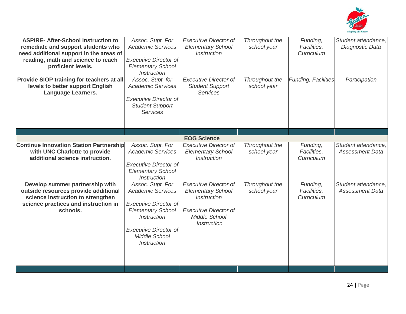

| <b>ASPIRE- After-School Instruction to</b><br>remediate and support students who<br>need additional support in the areas of<br>reading, math and science to reach<br>proficient levels.<br>Provide SIOP training for teachers at all<br>levels to better support English<br><b>Language Learners.</b> | Assoc. Supt. For<br><b>Academic Services</b><br><b>Executive Director of</b><br><b>Elementary School</b><br><b>Instruction</b><br>Assoc. Supt. for<br><b>Academic Services</b><br><b>Executive Director of</b><br><b>Student Support</b><br><b>Services</b> | <b>Executive Director of</b><br><b>Elementary School</b><br><b>Instruction</b><br><b>Executive Director of</b><br><b>Student Support</b><br><b>Services</b> | Throughout the<br>school year<br>Throughout the<br>school year | Funding,<br>Facilities,<br>Curriculum<br>Funding, Facilities | Student attendance,<br>Diagnostic Data<br>Participation |
|-------------------------------------------------------------------------------------------------------------------------------------------------------------------------------------------------------------------------------------------------------------------------------------------------------|-------------------------------------------------------------------------------------------------------------------------------------------------------------------------------------------------------------------------------------------------------------|-------------------------------------------------------------------------------------------------------------------------------------------------------------|----------------------------------------------------------------|--------------------------------------------------------------|---------------------------------------------------------|
|                                                                                                                                                                                                                                                                                                       |                                                                                                                                                                                                                                                             |                                                                                                                                                             |                                                                |                                                              |                                                         |
|                                                                                                                                                                                                                                                                                                       |                                                                                                                                                                                                                                                             | <b>EOG Science</b>                                                                                                                                          |                                                                |                                                              |                                                         |
| <b>Continue Innovation Station Partnership</b><br>with UNC Charlotte to provide<br>additional science instruction.                                                                                                                                                                                    | Assoc. Supt. For<br><b>Academic Services</b><br><b>Executive Director of</b><br><b>Elementary School</b><br><b>Instruction</b>                                                                                                                              | <b>Executive Director of</b><br><b>Elementary School</b><br><b>Instruction</b>                                                                              | Throughout the<br>school year                                  | Funding,<br>Facilities,<br>Curriculum                        | Student attendance,<br><b>Assessment Data</b>           |
| Develop summer partnership with<br>outside resources provide additional<br>science instruction to strengthen<br>science practices and instruction in<br>schools.                                                                                                                                      | Assoc. Supt. For<br><b>Academic Services</b><br><b>Executive Director of</b><br><b>Elementary School</b><br><b>Instruction</b><br><b>Executive Director of</b><br><b>Middle School</b><br><b>Instruction</b>                                                | <b>Executive Director of</b><br><b>Elementary School</b><br><b>Instruction</b><br><b>Executive Director of</b><br><b>Middle School</b><br>Instruction       | Throughout the<br>school year                                  | Funding,<br>Facilities,<br>Curriculum                        | Student attendance,<br><b>Assessment Data</b>           |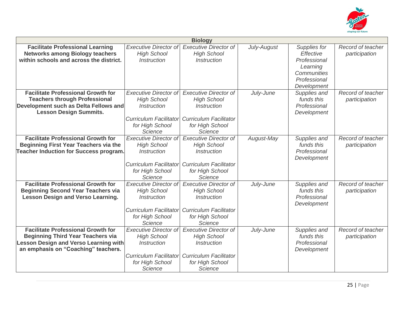

|                                               | <b>Biology</b>                |                                  |             |              |                   |  |  |
|-----------------------------------------------|-------------------------------|----------------------------------|-------------|--------------|-------------------|--|--|
| <b>Facilitate Professional Learning</b>       | <b>Executive Director of</b>  | <b>Executive Director of</b>     | July-August | Supplies for | Record of teacher |  |  |
| <b>Networks among Biology teachers</b>        | <b>High School</b>            | <b>High School</b>               |             | Effective    | participation     |  |  |
| within schools and across the district.       | <i><b>Instruction</b></i>     | <i><u><b>Instruction</b></u></i> |             | Professional |                   |  |  |
|                                               |                               |                                  |             | Learning     |                   |  |  |
|                                               |                               |                                  |             | Communities  |                   |  |  |
|                                               |                               |                                  |             | Professional |                   |  |  |
|                                               |                               |                                  |             | Development  |                   |  |  |
| <b>Facilitate Professional Growth for</b>     | <b>Executive Director of</b>  | <b>Executive Director of</b>     | July-June   | Supplies and | Record of teacher |  |  |
| <b>Teachers through Professional</b>          | <b>High School</b>            | <b>High School</b>               |             | funds this   | participation     |  |  |
| Development such as Delta Fellows and         | <i><b>Instruction</b></i>     | <i><b>Instruction</b></i>        |             | Professional |                   |  |  |
| <b>Lesson Design Summits.</b>                 |                               |                                  |             | Development  |                   |  |  |
|                                               | <b>Curriculum Facilitator</b> | <b>Curriculum Facilitator</b>    |             |              |                   |  |  |
|                                               | for High School               | for High School                  |             |              |                   |  |  |
|                                               | <b>Science</b>                | Science                          |             |              |                   |  |  |
| <b>Facilitate Professional Growth for</b>     | <b>Executive Director of</b>  | <b>Executive Director of</b>     | August-May  | Supplies and | Record of teacher |  |  |
| <b>Beginning First Year Teachers via the</b>  | <b>High School</b>            | <b>High School</b>               |             | funds this   | participation     |  |  |
| <b>Teacher Induction for Success program.</b> | <i><b>Instruction</b></i>     | Instruction                      |             | Professional |                   |  |  |
|                                               |                               |                                  |             | Development  |                   |  |  |
|                                               | <b>Curriculum Facilitator</b> | <b>Curriculum Facilitator</b>    |             |              |                   |  |  |
|                                               | for High School               | for High School                  |             |              |                   |  |  |
|                                               | Science                       | Science                          |             |              |                   |  |  |
| <b>Facilitate Professional Growth for</b>     | <b>Executive Director of</b>  | <b>Executive Director of</b>     | July-June   | Supplies and | Record of teacher |  |  |
| <b>Beginning Second Year Teachers via</b>     | <b>High School</b>            | <b>High School</b>               |             | funds this   | participation     |  |  |
| <b>Lesson Design and Verso Learning.</b>      | <b>Instruction</b>            | <b>Instruction</b>               |             | Professional |                   |  |  |
|                                               |                               |                                  |             | Development  |                   |  |  |
|                                               | <b>Curriculum Facilitator</b> | <b>Curriculum Facilitator</b>    |             |              |                   |  |  |
|                                               | for High School               | for High School                  |             |              |                   |  |  |
|                                               | Science                       | Science                          |             |              |                   |  |  |
| <b>Facilitate Professional Growth for</b>     | <b>Executive Director of</b>  | <b>Executive Director of</b>     | July-June   | Supplies and | Record of teacher |  |  |
| <b>Beginning Third Year Teachers via</b>      | <b>High School</b>            | <b>High School</b>               |             | funds this   | participation     |  |  |
| <b>Lesson Design and Verso Learning with</b>  | <i><b>Instruction</b></i>     | Instruction                      |             | Professional |                   |  |  |
| an emphasis on "Coaching" teachers.           |                               |                                  |             | Development  |                   |  |  |
|                                               | <b>Curriculum Facilitator</b> | <b>Curriculum Facilitator</b>    |             |              |                   |  |  |
|                                               | for High School               | for High School                  |             |              |                   |  |  |
|                                               | Science                       | <b>Science</b>                   |             |              |                   |  |  |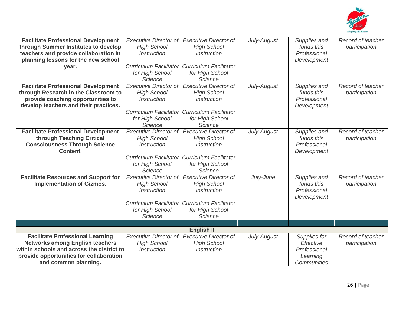

| <b>Facilitate Professional Development</b><br>through Summer Institutes to develop<br>teachers and provide collaboration in<br>planning lessons for the new school<br>year.                       | <b>Executive Director of</b><br><b>High School</b><br><b>Instruction</b><br><b>Curriculum Facilitator</b><br>for High School<br>Science        | <b>Executive Director of</b><br><b>High School</b><br><b>Instruction</b><br><b>Curriculum Facilitator</b><br>for High School<br>Science        | July-August | Supplies and<br>funds this<br>Professional<br>Development            | Record of teacher<br>participation |
|---------------------------------------------------------------------------------------------------------------------------------------------------------------------------------------------------|------------------------------------------------------------------------------------------------------------------------------------------------|------------------------------------------------------------------------------------------------------------------------------------------------|-------------|----------------------------------------------------------------------|------------------------------------|
| <b>Facilitate Professional Development</b><br>through Research in the Classroom to<br>provide coaching opportunities to<br>develop teachers and their practices.                                  | <b>Executive Director of</b><br><b>High School</b><br><i><b>Instruction</b></i><br><b>Curriculum Facilitator</b><br>for High School<br>Science | <b>Executive Director of</b><br><b>High School</b><br><i><b>Instruction</b></i><br><b>Curriculum Facilitator</b><br>for High School<br>Science | July-August | Supplies and<br>funds this<br>Professional<br>Development            | Record of teacher<br>participation |
| <b>Facilitate Professional Development</b><br>through Teaching Critical<br><b>Consciousness Through Science</b><br><b>Content.</b>                                                                | <b>Executive Director of</b><br><b>High School</b><br><i><b>Instruction</b></i><br><b>Curriculum Facilitator</b><br>for High School<br>Science | <b>Executive Director of</b><br><b>High School</b><br><i><b>Instruction</b></i><br><b>Curriculum Facilitator</b><br>for High School<br>Science | July-August | Supplies and<br>funds this<br>Professional<br>Development            | Record of teacher<br>participation |
| <b>Facilitate Resources and Support for</b><br><b>Implementation of Gizmos.</b>                                                                                                                   | <b>Executive Director of</b><br><b>High School</b><br><b>Instruction</b><br><b>Curriculum Facilitator</b><br>for High School<br>Science        | <b>Executive Director of</b><br><b>High School</b><br><b>Instruction</b><br><b>Curriculum Facilitator</b><br>for High School<br>Science        | July-June   | Supplies and<br>funds this<br>Professional<br>Development            | Record of teacher<br>participation |
|                                                                                                                                                                                                   |                                                                                                                                                | <b>English II</b>                                                                                                                              |             |                                                                      |                                    |
| <b>Facilitate Professional Learning</b><br><b>Networks among English teachers</b><br>within schools and across the district to<br>provide opportunities for collaboration<br>and common planning. | <b>Executive Director of</b><br><b>High School</b><br><i><b>Instruction</b></i>                                                                | <b>Executive Director of</b><br><b>High School</b><br><i><b>Instruction</b></i>                                                                | July-August | Supplies for<br>Effective<br>Professional<br>Learning<br>Communities | Record of teacher<br>participation |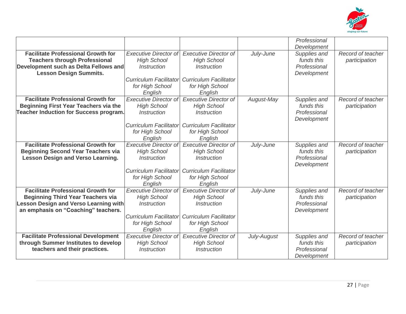

|                                               |                                         |                                         |             | Professional<br>Development |                   |
|-----------------------------------------------|-----------------------------------------|-----------------------------------------|-------------|-----------------------------|-------------------|
| <b>Facilitate Professional Growth for</b>     | <b>Executive Director of</b>            | <b>Executive Director of</b>            | July-June   | Supplies and                | Record of teacher |
| <b>Teachers through Professional</b>          | <b>High School</b>                      | <b>High School</b>                      |             | funds this                  | participation     |
| Development such as Delta Fellows and         | <i><b>Instruction</b></i>               | <i><b>Instruction</b></i>               |             | Professional                |                   |
| <b>Lesson Design Summits.</b>                 |                                         |                                         |             | Development                 |                   |
|                                               | <b>Curriculum Facilitator</b>           | <b>Curriculum Facilitator</b>           |             |                             |                   |
|                                               | for High School                         | for High School                         |             |                             |                   |
|                                               | English                                 | English                                 |             |                             |                   |
| <b>Facilitate Professional Growth for</b>     | <b>Executive Director of</b>            | <b>Executive Director of</b>            | August-May  | Supplies and                | Record of teacher |
| <b>Beginning First Year Teachers via the</b>  | <b>High School</b>                      | <b>High School</b>                      |             | funds this                  | participation     |
| <b>Teacher Induction for Success program.</b> | Instruction                             | Instruction                             |             | Professional                |                   |
|                                               |                                         |                                         |             | Development                 |                   |
|                                               | <b>Curriculum Facilitator</b>           | <b>Curriculum Facilitator</b>           |             |                             |                   |
|                                               | for High School<br>English              | for High School<br>English              |             |                             |                   |
| <b>Facilitate Professional Growth for</b>     | <b>Executive Director of</b>            | <b>Executive Director of</b>            | July-June   | Supplies and                | Record of teacher |
| <b>Beginning Second Year Teachers via</b>     | <b>High School</b>                      | <b>High School</b>                      |             | funds this                  | participation     |
| <b>Lesson Design and Verso Learning.</b>      | <b>Instruction</b>                      | <b>Instruction</b>                      |             | Professional                |                   |
|                                               |                                         |                                         |             | Development                 |                   |
|                                               | <b>Curriculum Facilitator</b>           | <b>Curriculum Facilitator</b>           |             |                             |                   |
|                                               | for High School                         | for High School                         |             |                             |                   |
|                                               | English                                 | English                                 |             |                             |                   |
| <b>Facilitate Professional Growth for</b>     | <b>Executive Director of</b>            | <b>Executive Director of</b>            | July-June   | Supplies and                | Record of teacher |
| <b>Beginning Third Year Teachers via</b>      | <b>High School</b>                      | <b>High School</b>                      |             | funds this                  | participation     |
| <b>Lesson Design and Verso Learning with</b>  | Instruction                             | Instruction                             |             | Professional                |                   |
| an emphasis on "Coaching" teachers.           |                                         |                                         |             | Development                 |                   |
|                                               | <b>Curriculum Facilitator</b>           | <b>Curriculum Facilitator</b>           |             |                             |                   |
|                                               | for High School                         | for High School                         |             |                             |                   |
| <b>Facilitate Professional Development</b>    | English<br><b>Executive Director of</b> | English<br><b>Executive Director of</b> | July-August | Supplies and                | Record of teacher |
| through Summer Institutes to develop          | <b>High School</b>                      | <b>High School</b>                      |             | funds this                  | participation     |
| teachers and their practices.                 | <i><b>Instruction</b></i>               | <i><b>Instruction</b></i>               |             | Professional                |                   |
|                                               |                                         |                                         |             | Development                 |                   |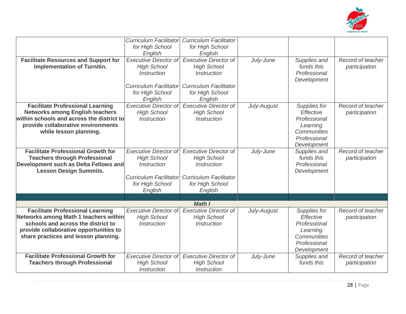

|                                             | <b>Curriculum Facilitator</b><br>for High School | <b>Curriculum Facilitator</b><br>for High School |             |              |                   |
|---------------------------------------------|--------------------------------------------------|--------------------------------------------------|-------------|--------------|-------------------|
|                                             | English                                          | English                                          |             |              |                   |
| <b>Facilitate Resources and Support for</b> | <b>Executive Director of</b>                     | <b>Executive Director of</b>                     | July-June   | Supplies and | Record of teacher |
| <b>Implementation of Turnitin.</b>          | <b>High School</b>                               | <b>High School</b>                               |             | funds this   | participation     |
|                                             | <b>Instruction</b>                               | <i><b>Instruction</b></i>                        |             | Professional |                   |
|                                             |                                                  |                                                  |             | Development  |                   |
|                                             | <b>Curriculum Facilitator</b>                    | <b>Curriculum Facilitator</b>                    |             |              |                   |
|                                             | for High School                                  | for High School                                  |             |              |                   |
|                                             | English                                          | English                                          |             |              |                   |
| <b>Facilitate Professional Learning</b>     | <b>Executive Director of</b>                     | <b>Executive Director of</b>                     | July-August | Supplies for | Record of teacher |
| <b>Networks among English teachers</b>      | <b>High School</b>                               | <b>High School</b>                               |             | Effective    | participation     |
| within schools and across the district to   | <i><b>Instruction</b></i>                        | <b>Instruction</b>                               |             | Professional |                   |
| provide collaborative environments          |                                                  |                                                  |             | Learning     |                   |
| while lesson planning.                      |                                                  |                                                  |             | Communities  |                   |
|                                             |                                                  |                                                  |             | Professional |                   |
|                                             |                                                  |                                                  |             | Development  |                   |
| <b>Facilitate Professional Growth for</b>   | <b>Executive Director of</b>                     | <b>Executive Director of</b>                     | July-June   | Supplies and | Record of teacher |
| <b>Teachers through Professional</b>        | <b>High School</b>                               | <b>High School</b>                               |             | funds this   | participation     |
| Development such as Delta Fellows and       | <b>Instruction</b>                               | <b>Instruction</b>                               |             | Professional |                   |
| <b>Lesson Design Summits.</b>               |                                                  |                                                  |             | Development  |                   |
|                                             | <b>Curriculum Facilitator</b>                    | <b>Curriculum Facilitator</b>                    |             |              |                   |
|                                             | for High School                                  | for High School                                  |             |              |                   |
|                                             | English                                          | English                                          |             |              |                   |
|                                             |                                                  |                                                  |             |              |                   |
|                                             |                                                  | <b>Math I</b>                                    |             |              |                   |
| <b>Facilitate Professional Learning</b>     | <b>Executive Director of</b>                     | <b>Executive Director of</b>                     | July-August | Supplies for | Record of teacher |
| Networks among Math 1 teachers within       | <b>High School</b>                               | <b>High School</b>                               |             | Effective    | participation     |
| schools and across the district to          | <i><b>Instruction</b></i>                        | <b>Instruction</b>                               |             | Professional |                   |
| provide collaborative opportunities to      |                                                  |                                                  |             | Learning     |                   |
| share practices and lesson planning.        |                                                  |                                                  |             | Communities  |                   |
|                                             |                                                  |                                                  |             | Professional |                   |
|                                             |                                                  |                                                  |             | Development  |                   |
| <b>Facilitate Professional Growth for</b>   | <b>Executive Director of</b>                     | <b>Executive Director of</b>                     | July-June   | Supplies and | Record of teacher |
| <b>Teachers through Professional</b>        | <b>High School</b>                               | <b>High School</b>                               |             | funds this   | participation     |
|                                             | Instruction                                      | <i>Instruction</i>                               |             |              |                   |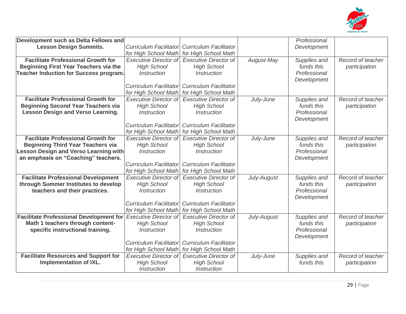

| Development such as Delta Fellows and          |                               |                               |             | Professional |                   |
|------------------------------------------------|-------------------------------|-------------------------------|-------------|--------------|-------------------|
| <b>Lesson Design Summits.</b>                  | <b>Curriculum Facilitator</b> | <b>Curriculum Facilitator</b> |             | Development  |                   |
|                                                | for High School Math          | for High School Math          |             |              |                   |
| <b>Facilitate Professional Growth for</b>      | <b>Executive Director of</b>  | <b>Executive Director of</b>  | August-May  | Supplies and | Record of teacher |
| <b>Beginning First Year Teachers via the</b>   | <b>High School</b>            | <b>High School</b>            |             | funds this   | participation     |
| <b>Teacher Induction for Success program.</b>  | Instruction                   | Instruction                   |             | Professional |                   |
|                                                |                               |                               |             | Development  |                   |
|                                                | <b>Curriculum Facilitator</b> | <b>Curriculum Facilitator</b> |             |              |                   |
|                                                | for High School Math          | for High School Math          |             |              |                   |
| <b>Facilitate Professional Growth for</b>      | <b>Executive Director of</b>  | <b>Executive Director of</b>  | July-June   | Supplies and | Record of teacher |
| <b>Beginning Second Year Teachers via</b>      | <b>High School</b>            | <b>High School</b>            |             | funds this   | participation     |
| <b>Lesson Design and Verso Learning.</b>       | <b>Instruction</b>            | <b>Instruction</b>            |             | Professional |                   |
|                                                |                               |                               |             | Development  |                   |
|                                                | <b>Curriculum Facilitator</b> | <b>Curriculum Facilitator</b> |             |              |                   |
|                                                | for High School Math          | for High School Math          |             |              |                   |
| <b>Facilitate Professional Growth for</b>      | <b>Executive Director of</b>  | <b>Executive Director of</b>  | July-June   | Supplies and | Record of teacher |
| <b>Beginning Third Year Teachers via</b>       | <b>High School</b>            | <b>High School</b>            |             | funds this   | participation     |
| <b>Lesson Design and Verso Learning with</b>   | <b>Instruction</b>            | <b>Instruction</b>            |             | Professional |                   |
| an emphasis on "Coaching" teachers.            |                               |                               |             | Development  |                   |
|                                                | <b>Curriculum Facilitator</b> | <b>Curriculum Facilitator</b> |             |              |                   |
|                                                | for High School Math          | for High School Math          |             |              |                   |
| <b>Facilitate Professional Development</b>     | <b>Executive Director of</b>  | <b>Executive Director of</b>  | July-August | Supplies and | Record of teacher |
| through Summer Institutes to develop           | <b>High School</b>            | <b>High School</b>            |             | funds this   | participation     |
| teachers and their practices.                  | <i><b>Instruction</b></i>     | <i><b>Instruction</b></i>     |             | Professional |                   |
|                                                |                               |                               |             | Development  |                   |
|                                                | <b>Curriculum Facilitator</b> | <b>Curriculum Facilitator</b> |             |              |                   |
|                                                | for High School Math          | for High School Math          |             |              |                   |
| <b>Facilitate Professional Development for</b> | <b>Executive Director of</b>  | <b>Executive Director of</b>  | July-August | Supplies and | Record of teacher |
| Math 1 teachers through content-               | <b>High School</b>            | <b>High School</b>            |             | funds this   | participation     |
| specific instructional training.               | <i><b>Instruction</b></i>     | <i><b>Instruction</b></i>     |             | Professional |                   |
|                                                |                               |                               |             | Development  |                   |
|                                                | <b>Curriculum Facilitator</b> | <b>Curriculum Facilitator</b> |             |              |                   |
|                                                | for High School Math          | for High School Math          |             |              |                   |
| <b>Facilitate Resources and Support for</b>    | <b>Executive Director of</b>  | <b>Executive Director of</b>  | July-June   | Supplies and | Record of teacher |
| <b>Implementation of IXL.</b>                  | <b>High School</b>            | <b>High School</b>            |             | funds this   | participation     |
|                                                | Instruction                   | <b>Instruction</b>            |             |              |                   |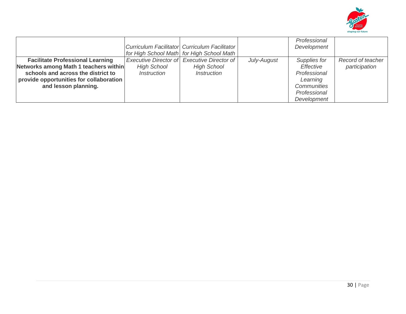

|                                                                                                                                                                   |                                          | Curriculum Facilitator Curriculum Facilitator<br>for High School Math for High School Math     |             | Professional<br>Development                           |                                    |
|-------------------------------------------------------------------------------------------------------------------------------------------------------------------|------------------------------------------|------------------------------------------------------------------------------------------------|-------------|-------------------------------------------------------|------------------------------------|
| <b>Facilitate Professional Learning</b><br>Networks among Math 1 teachers within<br>schools and across the district to<br>provide opportunities for collaboration | <b>High School</b><br><i>Instruction</i> | Executive Director of Executive Director of<br><b>High School</b><br><i><b>Instruction</b></i> | July-August | Supplies for<br>Effective<br>Professional<br>Learning | Record of teacher<br>participation |
| and lesson planning.                                                                                                                                              |                                          |                                                                                                |             | Communities<br>Professional<br>Development            |                                    |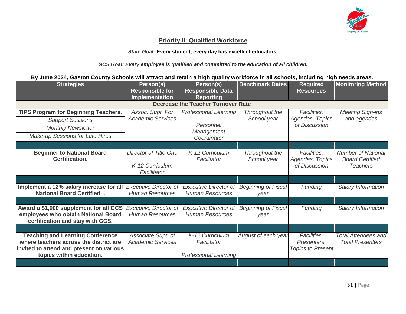

#### **Priority II: Qualified Workforce**

*State Goal:* **Every student, every day has excellent educators.** 

*GCS Goal: Every employee is qualified and committed to the education of all children.*

| By June 2024, Gaston County Schools will attract and retain a high quality workforce in all schools, including high needs areas.                          |                                                         |                                                                |                                    |                                                        |                                                                        |
|-----------------------------------------------------------------------------------------------------------------------------------------------------------|---------------------------------------------------------|----------------------------------------------------------------|------------------------------------|--------------------------------------------------------|------------------------------------------------------------------------|
| <b>Strategies</b>                                                                                                                                         | Person(s)                                               | Person(s)                                                      | <b>Benchmark Dates</b>             | <b>Required</b>                                        | <b>Monitoring Method</b>                                               |
|                                                                                                                                                           | <b>Responsible for</b><br>Implementation                | <b>Responsible Data</b><br><b>Reporting</b>                    |                                    | <b>Resources</b>                                       |                                                                        |
|                                                                                                                                                           |                                                         | <b>Decrease the Teacher Turnover Rate</b>                      |                                    |                                                        |                                                                        |
| <b>TIPS Program for Beginning Teachers.</b>                                                                                                               | Assoc. Supt. For                                        | <b>Professional Learning</b>                                   | Throughout the                     | Facilities.                                            | <b>Meeting Sign-ins</b>                                                |
| <b>Support Sessions</b>                                                                                                                                   | <b>Academic Services</b>                                |                                                                | School year                        | Agendas, Topics                                        | and agendas                                                            |
| <b>Monthly Newsletter</b>                                                                                                                                 |                                                         | Personnel<br>Management                                        |                                    | of Discussion                                          |                                                                        |
| Make-up Sessions for Late Hires                                                                                                                           |                                                         | Coordinator                                                    |                                    |                                                        |                                                                        |
|                                                                                                                                                           |                                                         |                                                                |                                    |                                                        |                                                                        |
| <b>Beginner to National Board</b><br><b>Certification.</b>                                                                                                | Director of Title One<br>K-12 Curriculum<br>Facilitator | K-12 Curriculum<br>Facilitator                                 | Throughout the<br>School year      | Facilities,<br>Agendas, Topics<br>of Discussion        | <b>Number of National</b><br><b>Board Certified</b><br><b>Teachers</b> |
|                                                                                                                                                           |                                                         |                                                                |                                    |                                                        |                                                                        |
| Implement a 12% salary increase for all<br><b>National Board Certified.</b>                                                                               | <b>Executive Director of</b><br><b>Human Resources</b>  | <b>Executive Director of</b><br><b>Human Resources</b>         | <b>Beginning of Fiscal</b><br>vear | Funding                                                | Salary Information                                                     |
|                                                                                                                                                           |                                                         |                                                                |                                    |                                                        |                                                                        |
| Award a \$1,000 supplement for all GCS<br>employees who obtain National Board<br>certification and stay with GCS.                                         | <b>Executive Director of</b><br><b>Human Resources</b>  | <b>Executive Director of</b><br><b>Human Resources</b>         | <b>Beginning of Fiscal</b><br>vear | Funding                                                | Salary Information                                                     |
|                                                                                                                                                           |                                                         |                                                                |                                    |                                                        |                                                                        |
| <b>Teaching and Learning Conference</b><br>where teachers across the district are<br>invited to attend and present on various<br>topics within education. | Associate Supt. of<br><b>Academic Services</b>          | K-12 Curriculum<br>Facilitator<br><b>Professional Learning</b> | August of each year                | Facilities,<br>Presenters,<br><b>Topics to Present</b> | <b>Total Attendees and</b><br><b>Total Presenters</b>                  |
|                                                                                                                                                           |                                                         |                                                                |                                    |                                                        |                                                                        |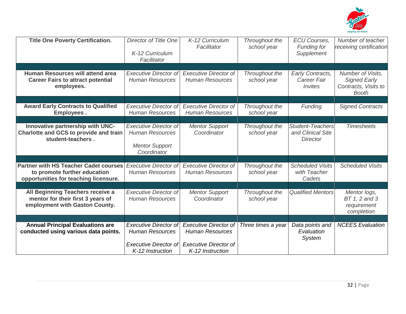

| <b>Title One Poverty Certification.</b>                                                                               | Director of Title One<br>K-12 Curriculum<br>Facilitator                                        | K-12 Curriculum<br>Facilitator                         | Throughout the<br>school year | <b>ECU Courses,</b><br><b>Funding for</b><br>Supplement         | Number of teacher<br>receiving certification                                     |
|-----------------------------------------------------------------------------------------------------------------------|------------------------------------------------------------------------------------------------|--------------------------------------------------------|-------------------------------|-----------------------------------------------------------------|----------------------------------------------------------------------------------|
|                                                                                                                       |                                                                                                |                                                        |                               |                                                                 |                                                                                  |
| Human Resources will attend area<br><b>Career Fairs to attract potential</b><br>employees.                            | <b>Executive Director of</b><br><b>Human Resources</b>                                         | <b>Executive Director of</b><br><b>Human Resources</b> | Throughout the<br>school year | Early Contracts,<br>Career Fair<br><i>Invites</i>               | Number of Visits,<br><b>Signed Early</b><br>Contracts, Visits to<br><b>Booth</b> |
|                                                                                                                       |                                                                                                |                                                        |                               |                                                                 |                                                                                  |
| <b>Award Early Contracts to Qualified</b><br><b>Employees.</b>                                                        | <b>Executive Director of</b><br><b>Human Resources</b>                                         | <b>Executive Director of</b><br><b>Human Resources</b> | Throughout the<br>school year | Funding                                                         | <b>Signed Contracts</b>                                                          |
|                                                                                                                       |                                                                                                |                                                        |                               |                                                                 |                                                                                  |
| Innovative partnership with UNC-<br>Charlotte and GCS to provide and train<br>student-teachers.                       | <b>Executive Director of</b><br><b>Human Resources</b><br><b>Mentor Support</b><br>Coordinator | <b>Mentor Support</b><br>Coordinator                   | Throughout the<br>school year | <b>Student-Teachers</b><br>and Clinical Site<br><b>Director</b> | <b>Timesheets</b>                                                                |
|                                                                                                                       |                                                                                                |                                                        |                               |                                                                 |                                                                                  |
| <b>Partner with HS Teacher Cadet courses</b><br>to promote further education<br>opportunities for teaching licensure. | <b>Executive Director of</b><br><b>Human Resources</b>                                         | <b>Executive Director of</b><br><b>Human Resources</b> | Throughout the<br>school year | <b>Scheduled Visits</b><br>with Teacher<br>Cadets               | <b>Scheduled Visits</b>                                                          |
|                                                                                                                       |                                                                                                |                                                        |                               |                                                                 |                                                                                  |
| All Beginning Teachers receive a<br>mentor for their first 3 years of<br>employment with Gaston County.               | <b>Executive Director of</b><br><b>Human Resources</b>                                         | <b>Mentor Support</b><br>Coordinator                   | Throughout the<br>school year | <b>Qualified Mentors</b>                                        | Mentor logs,<br>BT 1, 2 and 3<br>requirement<br>completion                       |
|                                                                                                                       |                                                                                                |                                                        |                               |                                                                 |                                                                                  |
| <b>Annual Principal Evaluations are</b><br>conducted using various data points.                                       | <b>Executive Director of</b><br><b>Human Resources</b>                                         | <b>Executive Director of</b><br><b>Human Resources</b> | Three times a year            | Data points and<br>Evaluation<br><b>System</b>                  | <b>NCEES</b> Evaluation                                                          |
|                                                                                                                       | <b>Executive Director of</b><br>K-12 Instruction                                               | <b>Executive Director of</b><br>K-12 Instruction       |                               |                                                                 |                                                                                  |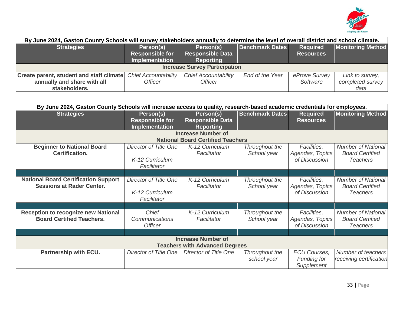

| By June 2024, Gaston County Schools will survey stakeholders annually to determine the level of overall district and school climate. |                                                       |                                                          |                        |                                     |                                             |  |  |
|--------------------------------------------------------------------------------------------------------------------------------------|-------------------------------------------------------|----------------------------------------------------------|------------------------|-------------------------------------|---------------------------------------------|--|--|
| <b>Strategies</b>                                                                                                                    | Person(s)<br><b>Responsible for</b><br>Implementation | Person(s)<br><b>Responsible Data</b><br><b>Reporting</b> | <b>Benchmark Dates</b> | <b>Required</b><br><b>Resources</b> | <b>Monitoring Method</b>                    |  |  |
|                                                                                                                                      |                                                       | <b>Increase Survey Participation</b>                     |                        |                                     |                                             |  |  |
| <b>Create parent, student and staff climate</b><br>annually and share with all<br>stakeholders.                                      | <b>Chief Accountability</b><br><i><b>Officer</b></i>  | <b>Chief Accountability</b><br><b>Officer</b>            | End of the Year        | eProve Survey<br>Software           | Link to survey,<br>completed survey<br>data |  |  |

| By June 2024, Gaston County Schools will increase access to quality, research-based academic credentials for employees. |                                                              |                                                          |                               |                                                         |                                                                        |  |  |
|-------------------------------------------------------------------------------------------------------------------------|--------------------------------------------------------------|----------------------------------------------------------|-------------------------------|---------------------------------------------------------|------------------------------------------------------------------------|--|--|
| <b>Strategies</b>                                                                                                       | Person(s)<br><b>Responsible for</b><br><b>Implementation</b> | Person(s)<br><b>Responsible Data</b><br><b>Reporting</b> | <b>Benchmark Dates</b>        | <b>Required</b><br><b>Resources</b>                     | <b>Monitoring Method</b>                                               |  |  |
|                                                                                                                         |                                                              | <b>Increase Number of</b>                                |                               |                                                         |                                                                        |  |  |
|                                                                                                                         |                                                              | <b>National Board Certified Teachers</b>                 |                               |                                                         |                                                                        |  |  |
| <b>Beginner to National Board</b><br><b>Certification.</b>                                                              | Director of Title One<br>K-12 Curriculum<br>Facilitator      | K-12 Curriculum<br>Facilitator                           | Throughout the<br>School year | Facilities,<br>Agendas, Topics<br>of Discussion         | <b>Number of National</b><br><b>Board Certified</b><br><b>Teachers</b> |  |  |
|                                                                                                                         |                                                              |                                                          |                               |                                                         |                                                                        |  |  |
| <b>National Board Certification Support</b><br><b>Sessions at Rader Center.</b>                                         | Director of Title One<br>K-12 Curriculum<br>Facilitator      | K-12 Curriculum<br>Facilitator                           | Throughout the<br>School year | Facilities,<br>Agendas, Topics<br>of Discussion         | <b>Number of National</b><br><b>Board Certified</b><br><b>Teachers</b> |  |  |
|                                                                                                                         |                                                              |                                                          |                               |                                                         |                                                                        |  |  |
| <b>Reception to recognize new National</b><br><b>Board Certified Teachers.</b>                                          | Chief<br><b>Communications</b><br><b>Officer</b>             | K-12 Curriculum<br>Facilitator                           | Throughout the<br>School year | Facilities,<br>Agendas, Topics<br>of Discussion         | <b>Number of National</b><br><b>Board Certified</b><br><b>Teachers</b> |  |  |
|                                                                                                                         |                                                              |                                                          |                               |                                                         |                                                                        |  |  |
| <b>Increase Number of</b><br><b>Teachers with Advanced Degrees</b>                                                      |                                                              |                                                          |                               |                                                         |                                                                        |  |  |
| Partnership with ECU.                                                                                                   | Director of Title One                                        | Director of Title One                                    | Throughout the<br>school year | <b>ECU Courses,</b><br><b>Funding for</b><br>Supplement | Number of teachers<br>receiving certification                          |  |  |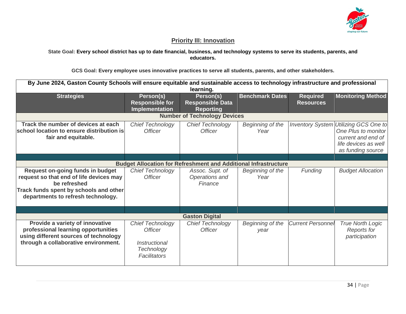

#### **Priority III: Innovation**

**State Goal: Every school district has up to date financial, business, and technology systems to serve its students, parents, and educators.**

**GCS Goal: Every employee uses innovative practices to serve all students, parents, and other stakeholders.**

| By June 2024, Gaston County Schools will ensure equitable and sustainable access to technology infrastructure and professional<br>learning.                                 |                                                                                                        |                                                                        |                          |                                     |                                                                                                                |  |  |
|-----------------------------------------------------------------------------------------------------------------------------------------------------------------------------|--------------------------------------------------------------------------------------------------------|------------------------------------------------------------------------|--------------------------|-------------------------------------|----------------------------------------------------------------------------------------------------------------|--|--|
| <b>Strategies</b>                                                                                                                                                           | Person(s)<br><b>Responsible for</b><br>Implementation                                                  | Person(s)<br><b>Responsible Data</b><br><b>Reporting</b>               | <b>Benchmark Dates</b>   | <b>Required</b><br><b>Resources</b> | <b>Monitoring Method</b>                                                                                       |  |  |
|                                                                                                                                                                             |                                                                                                        | <b>Number of Technology Devices</b>                                    |                          |                                     |                                                                                                                |  |  |
| Track the number of devices at each<br>school location to ensure distribution is<br>fair and equitable.                                                                     | <b>Chief Technology</b><br><i><u><b>Officer</b></u></i>                                                | <b>Chief Technology</b><br><b>Officer</b>                              | Beginning of the<br>Year | <b>Inventory System</b>             | Utilizing GCS One to<br>One Plus to monitor<br>current and end of<br>life devices as well<br>as funding source |  |  |
|                                                                                                                                                                             |                                                                                                        |                                                                        |                          |                                     |                                                                                                                |  |  |
|                                                                                                                                                                             |                                                                                                        | <b>Budget Allocation for Refreshment and Additional Infrastructure</b> |                          |                                     |                                                                                                                |  |  |
| Request on-going funds in budget<br>request so that end of life devices may<br>be refreshed<br>Track funds spent by schools and other<br>departments to refresh technology. | <b>Chief Technology</b><br><b>Officer</b>                                                              | Assoc. Supt. of<br>Operations and<br>Finance                           | Beginning of the<br>Year | <b>Funding</b>                      | <b>Budget Allocation</b>                                                                                       |  |  |
|                                                                                                                                                                             |                                                                                                        |                                                                        |                          |                                     |                                                                                                                |  |  |
|                                                                                                                                                                             |                                                                                                        | <b>Gaston Digital</b>                                                  |                          |                                     |                                                                                                                |  |  |
| Provide a variety of innovative<br>professional learning opportunities<br>using different sources of technology<br>through a collaborative environment.                     | <b>Chief Technology</b><br><i><u><b>Officer</b></u></i><br>Instructional<br>Technology<br>Facilitators | <b>Chief Technology</b><br><b>Officer</b>                              | Beginning of the<br>year | <b>Current Personnel</b>            | <b>True North Logic</b><br><b>Reports for</b><br>participation                                                 |  |  |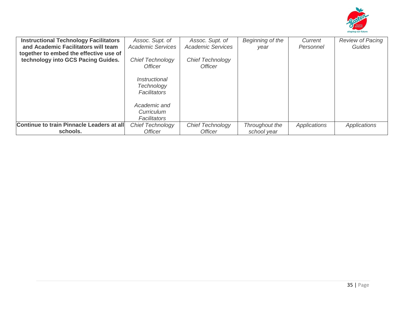

| and Academic Facilitators will team<br>together to embed the effective use of | <b>Academic Services</b>                                  | Assoc. Supt. of<br><b>Academic Services</b>      | Beginning of the<br>vear      | Current<br>Personnel | <b>Review of Pacing</b><br>Guides |
|-------------------------------------------------------------------------------|-----------------------------------------------------------|--------------------------------------------------|-------------------------------|----------------------|-----------------------------------|
| technology into GCS Pacing Guides.                                            | <b>Chief Technology</b><br>Officer                        | <b>Chief Technology</b><br><i><b>Officer</b></i> |                               |                      |                                   |
|                                                                               | <i>Instructional</i><br>Technology<br><b>Facilitators</b> |                                                  |                               |                      |                                   |
|                                                                               | Academic and<br>Curriculum<br><b>Facilitators</b>         |                                                  |                               |                      |                                   |
| Continue to train Pinnacle Leaders at all<br>schools.                         | <b>Chief Technology</b><br><i><b>Officer</b></i>          | Chief Technology<br><i><u><b>Officer</b></u></i> | Throughout the<br>school year | Applications         | <b>Applications</b>               |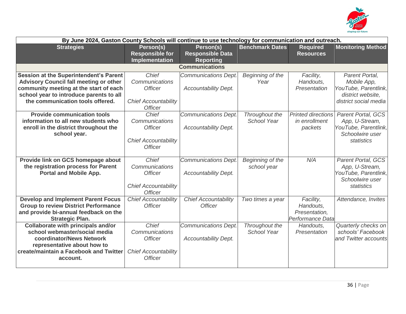

| By June 2024, Gaston County Schools will continue to use technology for communication and outreach.                                                                                                              |                                                                                            |                                                            |                                 |                                                             |                                                                                                      |  |  |
|------------------------------------------------------------------------------------------------------------------------------------------------------------------------------------------------------------------|--------------------------------------------------------------------------------------------|------------------------------------------------------------|---------------------------------|-------------------------------------------------------------|------------------------------------------------------------------------------------------------------|--|--|
| <b>Strategies</b>                                                                                                                                                                                                | Person(s)<br><b>Responsible for</b><br><b>Implementation</b>                               | Person(s)<br><b>Responsible Data</b><br><b>Reporting</b>   | <b>Benchmark Dates</b>          | <b>Required</b><br><b>Resources</b>                         | <b>Monitoring Method</b>                                                                             |  |  |
|                                                                                                                                                                                                                  |                                                                                            | <b>Communications</b>                                      |                                 |                                                             |                                                                                                      |  |  |
| Session at the Superintendent's Parent<br><b>Advisory Council fall meeting or other</b><br>community meeting at the start of each<br>school year to introduce parents to all<br>the communication tools offered. | Chief<br>Communications<br><b>Officer</b><br><b>Chief Accountability</b><br><b>Officer</b> | <b>Communications Dept.</b><br><b>Accountability Dept.</b> | Beginning of the<br>Year        | Facility,<br>Handouts,<br>Presentation                      | Parent Portal,<br>Mobile App,<br>YouTube, Parentlink,<br>district website,<br>district social media  |  |  |
| <b>Provide communication tools</b><br>information to all new students who<br>enroll in the district throughout the<br>school year.                                                                               | Chief<br>Communications<br><b>Officer</b><br><b>Chief Accountability</b><br><b>Officer</b> | <b>Communications Dept.</b><br><b>Accountability Dept.</b> | Throughout the<br>School Year   | <b>Printed directions</b><br>in enrollment<br>packets       | Parent Portal, GCS<br>App, U-Stream,<br>YouTube, Parentlink,<br>Schoolwire user<br>statistics        |  |  |
| Provide link on GCS homepage about<br>the registration process for Parent<br><b>Portal and Mobile App.</b>                                                                                                       | Chief<br>Communications<br><b>Officer</b><br><b>Chief Accountability</b><br><b>Officer</b> | <b>Communications Dept.</b><br><b>Accountability Dept.</b> | Beginning of the<br>school year | N/A                                                         | <b>Parent Portal, GCS</b><br>App, U-Stream,<br>YouTube, Parentlink,<br>Schoolwire user<br>statistics |  |  |
| <b>Develop and Implement Parent Focus</b><br><b>Group to review District Performance</b><br>and provide bi-annual feedback on the<br><b>Strategic Plan.</b>                                                      | <b>Chief Accountability</b><br><b>Officer</b>                                              | <b>Chief Accountability</b><br><b>Officer</b>              | Two times a year                | Facility,<br>Handouts,<br>Presentation,<br>Performance Data | Attendance, Invites                                                                                  |  |  |
| <b>Collaborate with principals and/or</b><br>school webmaster/social media<br>coordinator/News Network<br>representative about how to<br>create/maintain a Facebook and Twitter<br>account.                      | Chief<br>Communications<br><b>Officer</b><br><b>Chief Accountability</b><br><b>Officer</b> | <b>Communications Dept.</b><br><b>Accountability Dept.</b> | Throughout the<br>School Year   | Handouts.<br>Presentation                                   | Quarterly checks on<br>schools' Facebook<br>and Twitter accounts                                     |  |  |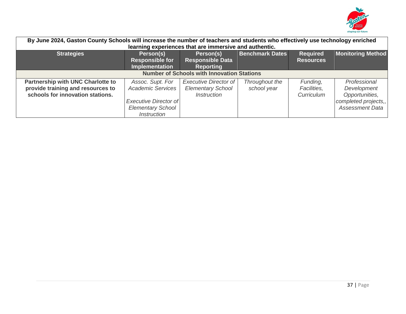

| By June 2024, Gaston County Schools will increase the number of teachers and students who effectively use technology enriched |                           |                                                   |                        |                  |                          |  |  |  |  |
|-------------------------------------------------------------------------------------------------------------------------------|---------------------------|---------------------------------------------------|------------------------|------------------|--------------------------|--|--|--|--|
| learning experiences that are immersive and authentic.                                                                        |                           |                                                   |                        |                  |                          |  |  |  |  |
| <b>Strategies</b>                                                                                                             | Person(s)                 | Person(s)                                         | <b>Benchmark Dates</b> | <b>Required</b>  | <b>Monitoring Method</b> |  |  |  |  |
|                                                                                                                               | <b>Responsible for</b>    | <b>Responsible Data</b>                           |                        | <b>Resources</b> |                          |  |  |  |  |
|                                                                                                                               | <b>Implementation</b>     | <b>Reporting</b>                                  |                        |                  |                          |  |  |  |  |
|                                                                                                                               |                           | <b>Number of Schools with Innovation Stations</b> |                        |                  |                          |  |  |  |  |
| <b>Partnership with UNC Charlotte to</b>                                                                                      | Assoc. Supt. For          | <b>Executive Director of</b>                      | Throughout the         | Funding,         | Professional             |  |  |  |  |
| provide training and resources to                                                                                             | <b>Academic Services</b>  | <b>Elementary School</b>                          | school year            | Facilities,      | Development              |  |  |  |  |
| schools for innovation stations.                                                                                              |                           | <i><b>Instruction</b></i>                         |                        | Curriculum       | Opportunities,           |  |  |  |  |
|                                                                                                                               | Executive Director of     |                                                   |                        |                  | completed projects,,     |  |  |  |  |
|                                                                                                                               | <b>Elementary School</b>  |                                                   |                        |                  | <b>Assessment Data</b>   |  |  |  |  |
|                                                                                                                               | <i><b>Instruction</b></i> |                                                   |                        |                  |                          |  |  |  |  |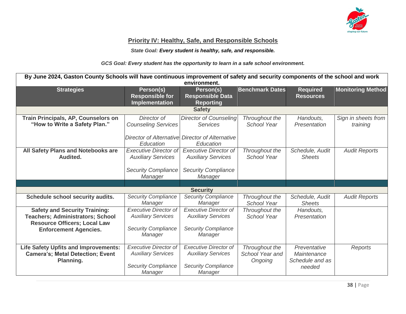

#### **Priority IV: Healthy, Safe, and Responsible Schools**

*State Goal: Every student is healthy, safe, and responsible.*

*GCS Goal: Every student has the opportunity to learn in a safe school environment.*

| By June 2024, Gaston County Schools will have continuous improvement of safety and security components of the school and work<br>environment. |                                                                                                    |                                                                                                    |                                              |                                                          |                                 |  |  |
|-----------------------------------------------------------------------------------------------------------------------------------------------|----------------------------------------------------------------------------------------------------|----------------------------------------------------------------------------------------------------|----------------------------------------------|----------------------------------------------------------|---------------------------------|--|--|
| <b>Strategies</b>                                                                                                                             | Person(s)<br><b>Responsible for</b><br><b>Implementation</b>                                       | Person(s)<br><b>Responsible Data</b><br><b>Reporting</b>                                           | <b>Benchmark Dates</b>                       | <b>Required</b><br><b>Resources</b>                      | <b>Monitoring Method</b>        |  |  |
|                                                                                                                                               |                                                                                                    | <b>Safety</b>                                                                                      |                                              |                                                          |                                 |  |  |
| Train Principals, AP, Counselors on<br>"How to Write a Safety Plan."                                                                          | Director of<br><b>Counseling Services</b>                                                          | <b>Director of Counseling</b><br><b>Services</b>                                                   | Throughout the<br><b>School Year</b>         | Handouts,<br>Presentation                                | Sign in sheets from<br>training |  |  |
|                                                                                                                                               | Education                                                                                          | Director of Alternative Director of Alternative<br>Education                                       |                                              |                                                          |                                 |  |  |
| All Safety Plans and Notebooks are<br>Audited.                                                                                                | <b>Executive Director of</b><br><b>Auxiliary Services</b>                                          | <b>Executive Director of</b><br><b>Auxiliary Services</b>                                          | Throughout the<br>School Year                | Schedule, Audit<br><b>Sheets</b>                         | <b>Audit Reports</b>            |  |  |
|                                                                                                                                               | <b>Security Compliance</b><br>Manager                                                              | <b>Security Compliance</b><br>Manager                                                              |                                              |                                                          |                                 |  |  |
|                                                                                                                                               |                                                                                                    |                                                                                                    |                                              |                                                          |                                 |  |  |
|                                                                                                                                               |                                                                                                    | <b>Security</b>                                                                                    |                                              |                                                          |                                 |  |  |
| Schedule school security audits.                                                                                                              | <b>Security Compliance</b><br>Manager                                                              | <b>Security Compliance</b><br>Manager                                                              | Throughout the<br><b>School Year</b>         | Schedule, Audit<br><b>Sheets</b>                         | <b>Audit Reports</b>            |  |  |
| <b>Safety and Security Training:</b><br><b>Teachers; Administrators; School</b><br><b>Resource Officers; Local Law</b>                        | <b>Executive Director of</b><br><b>Auxiliary Services</b>                                          | <b>Executive Director of</b><br><b>Auxiliary Services</b>                                          | Throughout the<br><b>School Year</b>         | Handouts.<br>Presentation                                |                                 |  |  |
| <b>Enforcement Agencies.</b>                                                                                                                  | <b>Security Compliance</b><br>Manager                                                              | <b>Security Compliance</b><br>Manager                                                              |                                              |                                                          |                                 |  |  |
| <b>Life Safety Upfits and Improvements:</b><br><b>Camera's; Metal Detection; Event</b><br>Planning.                                           | <b>Executive Director of</b><br><b>Auxiliary Services</b><br><b>Security Compliance</b><br>Manager | <b>Executive Director of</b><br><b>Auxiliary Services</b><br><b>Security Compliance</b><br>Manager | Throughout the<br>School Year and<br>Ongoing | Preventative<br>Maintenance<br>Schedule and as<br>needed | <b>Reports</b>                  |  |  |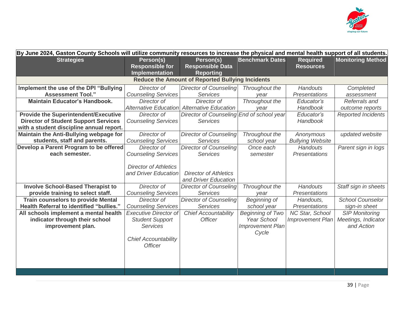

| By June 2024, Gaston County Schools will utilize community resources to increase the physical and mental health support of all students. |                                                                                                                            |                                                              |                                                                                   |                                            |                                                            |
|------------------------------------------------------------------------------------------------------------------------------------------|----------------------------------------------------------------------------------------------------------------------------|--------------------------------------------------------------|-----------------------------------------------------------------------------------|--------------------------------------------|------------------------------------------------------------|
| <b>Strategies</b>                                                                                                                        | Person(s)<br><b>Responsible for</b><br>Implementation                                                                      | Person(s)<br><b>Responsible Data</b><br><b>Reporting</b>     | <b>Benchmark Dates</b>                                                            | <b>Required</b><br><b>Resources</b>        | <b>Monitoring Method</b>                                   |
|                                                                                                                                          |                                                                                                                            | <b>Reduce the Amount of Reported Bullying Incidents</b>      |                                                                                   |                                            |                                                            |
| Implement the use of the DPI "Bullying<br><b>Assessment Tool."</b>                                                                       | Director of<br><b>Counseling Services</b>                                                                                  | <b>Director of Counseling</b><br><b>Services</b>             | Throughout the<br>vear                                                            | Handouts<br><b>Presentations</b>           | Completed<br>assessment                                    |
| <b>Maintain Educator's Handbook.</b>                                                                                                     | Director of<br><b>Alternative Education</b>                                                                                | Director of<br><b>Alternative Education</b>                  | Throughout the<br>year                                                            | Educator's<br>Handbook                     | Referrals and<br>outcome reports                           |
| <b>Provide the Superintendent/Executive</b><br><b>Director of Student Support Services</b><br>with a student discipline annual report.   | Director of<br><b>Counseling Services</b>                                                                                  | Director of Counseling End of school year<br><b>Services</b> |                                                                                   | Educator's<br>Handbook                     | <b>Reported Incidents</b>                                  |
| Maintain the Anti-Bullying webpage for<br>students, staff and parents.                                                                   | Director of<br><b>Counseling Services</b>                                                                                  | <b>Director of Counseling</b><br><b>Services</b>             | Throughout the<br>school year                                                     | Anonymous<br><b>Bullying Website</b>       | updated website                                            |
| Develop a Parent Program to be offered<br>each semester.                                                                                 | Director of<br><b>Counseling Services</b>                                                                                  | <b>Director of Counseling</b><br><b>Services</b>             | Once each<br>semester                                                             | <b>Handouts</b><br><b>Presentations</b>    | Parent sign in logs                                        |
|                                                                                                                                          | <b>Director of Athletics</b><br>and Driver Education                                                                       | <b>Director of Athletics</b><br>and Driver Education         |                                                                                   |                                            |                                                            |
| <b>Involve School-Based Therapist to</b><br>provide training to select staff.                                                            | Director of<br><b>Counseling Services</b>                                                                                  | <b>Director of Counseling</b><br>Services                    | Throughout the<br>year                                                            | Handouts<br><b>Presentations</b>           | Staff sign in sheets                                       |
| <b>Train counselors to provide Mental</b><br>Health Referral to identified "bullies."                                                    | Director of<br><b>Counseling Services</b>                                                                                  | <b>Director of Counseling</b><br><b>Services</b>             | Beginning of<br>school year                                                       | Handouts,<br><b>Presentations</b>          | <b>School Counselor</b><br>sign-in sheet                   |
| All schools implement a mental health<br>indicator through their school<br>improvement plan.                                             | <b>Executive Director of</b><br><b>Student Support</b><br><b>Services</b><br><b>Chief Accountability</b><br><b>Officer</b> | <b>Chief Accountability</b><br><b>Officer</b>                | <b>Beginning of Two</b><br><b>Year School</b><br><b>Improvement Plan</b><br>Cycle | NC Star, School<br><b>Improvement Plan</b> | <b>SIP Monitoring</b><br>Meetings, Indicator<br>and Action |
|                                                                                                                                          |                                                                                                                            |                                                              |                                                                                   |                                            |                                                            |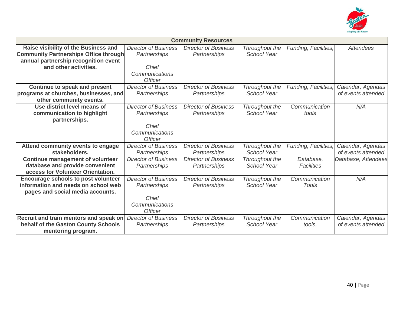

| <b>Community Resources</b>                   |                             |                             |                    |                      |                     |  |  |  |
|----------------------------------------------|-----------------------------|-----------------------------|--------------------|----------------------|---------------------|--|--|--|
| Raise visibility of the Business and         | <b>Director of Business</b> | <b>Director of Business</b> | Throughout the     | Funding, Facilities, | <b>Attendees</b>    |  |  |  |
| <b>Community Partnerships Office through</b> | Partnerships                | Partnerships                | <b>School Year</b> |                      |                     |  |  |  |
| annual partnership recognition event         |                             |                             |                    |                      |                     |  |  |  |
| and other activities.                        | Chief                       |                             |                    |                      |                     |  |  |  |
|                                              | Communications              |                             |                    |                      |                     |  |  |  |
|                                              | <b>Officer</b>              |                             |                    |                      |                     |  |  |  |
| Continue to speak and present                | <b>Director of Business</b> | <b>Director of Business</b> | Throughout the     | Funding, Facilities, | Calendar, Agendas   |  |  |  |
| programs at churches, businesses, and        | Partnerships                | Partnerships                | School Year        |                      | of events attended  |  |  |  |
| other community events.                      |                             |                             |                    |                      |                     |  |  |  |
| Use district level means of                  | <b>Director of Business</b> | <b>Director of Business</b> | Throughout the     | Communication        | N/A                 |  |  |  |
| communication to highlight                   | Partnerships                | Partnerships                | School Year        | tools                |                     |  |  |  |
| partnerships.                                |                             |                             |                    |                      |                     |  |  |  |
|                                              | Chief                       |                             |                    |                      |                     |  |  |  |
|                                              | Communications              |                             |                    |                      |                     |  |  |  |
|                                              | <b>Officer</b>              |                             |                    |                      |                     |  |  |  |
| Attend community events to engage            | <b>Director of Business</b> | <b>Director of Business</b> | Throughout the     | Funding, Facilities, | Calendar, Agendas   |  |  |  |
| stakeholders.                                | Partnerships                | Partnerships                | School Year        |                      | of events attended  |  |  |  |
| <b>Continue management of volunteer</b>      | <b>Director of Business</b> | <b>Director of Business</b> | Throughout the     | Database,            | Database, Attendees |  |  |  |
| database and provide convenient              | Partnerships                | Partnerships                | School Year        | Facilities           |                     |  |  |  |
| access for Volunteer Orientation.            |                             |                             |                    |                      |                     |  |  |  |
| <b>Encourage schools to post volunteer</b>   | <b>Director of Business</b> | <b>Director of Business</b> | Throughout the     | Communication        | N/A                 |  |  |  |
| information and needs on school web          | Partnerships                | Partnerships                | <b>School Year</b> | Tools                |                     |  |  |  |
| pages and social media accounts.             |                             |                             |                    |                      |                     |  |  |  |
|                                              | Chief                       |                             |                    |                      |                     |  |  |  |
|                                              | Communications              |                             |                    |                      |                     |  |  |  |
|                                              | <b>Officer</b>              |                             |                    |                      |                     |  |  |  |
| Recruit and train mentors and speak on       | <b>Director of Business</b> | <b>Director of Business</b> | Throughout the     | Communication        | Calendar, Agendas   |  |  |  |
| behalf of the Gaston County Schools          | Partnerships                | Partnerships                | School Year        | tools,               | of events attended  |  |  |  |
| mentoring program.                           |                             |                             |                    |                      |                     |  |  |  |